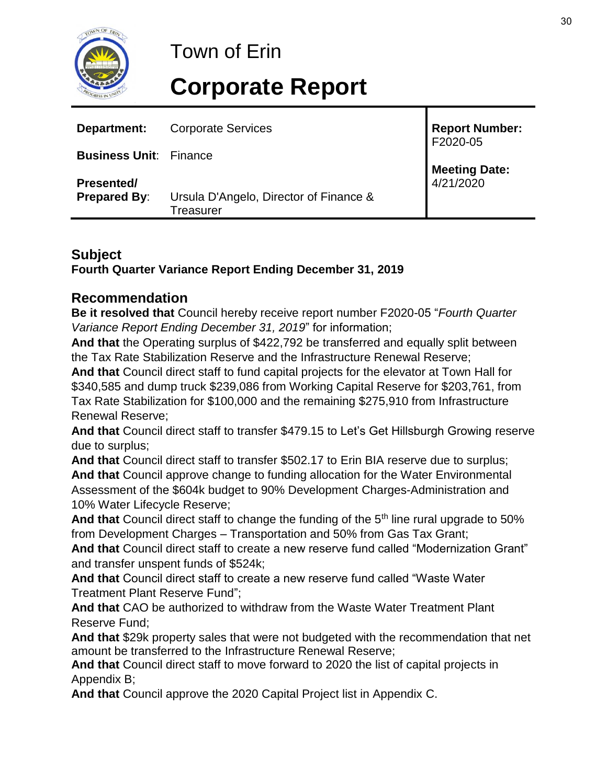

# Town of Erin

# **Corporate Report**

| Department:                                 | <b>Corporate Services</b>                           | Report Number:<br>F2020-05        |
|---------------------------------------------|-----------------------------------------------------|-----------------------------------|
| <b>Business Unit: Finance</b><br>Presented/ |                                                     | <b>Meeting Date:</b><br>4/21/2020 |
| <b>Prepared By:</b>                         | Ursula D'Angelo, Director of Finance &<br>Treasurer |                                   |

# **Subject Fourth Quarter Variance Report Ending December 31, 2019**

# **Recommendation**

**Be it resolved that** Council hereby receive report number F2020-05 "*Fourth Quarter Variance Report Ending December 31, 2019*" for information;

**And that** the Operating surplus of \$422,792 be transferred and equally split between the Tax Rate Stabilization Reserve and the Infrastructure Renewal Reserve;

**And that** Council direct staff to fund capital projects for the elevator at Town Hall for \$340,585 and dump truck \$239,086 from Working Capital Reserve for \$203,761, from Tax Rate Stabilization for \$100,000 and the remaining \$275,910 from Infrastructure Renewal Reserve;

**And that** Council direct staff to transfer \$479.15 to Let's Get Hillsburgh Growing reserve due to surplus;

**And that** Council direct staff to transfer \$502.17 to Erin BIA reserve due to surplus; **And that** Council approve change to funding allocation for the Water Environmental Assessment of the \$604k budget to 90% Development Charges-Administration and 10% Water Lifecycle Reserve;

And that Council direct staff to change the funding of the 5<sup>th</sup> line rural upgrade to 50% from Development Charges – Transportation and 50% from Gas Tax Grant;

**And that** Council direct staff to create a new reserve fund called "Modernization Grant" and transfer unspent funds of \$524k;

**And that** Council direct staff to create a new reserve fund called "Waste Water Treatment Plant Reserve Fund";

**And that** CAO be authorized to withdraw from the Waste Water Treatment Plant Reserve Fund;

**And that** \$29k property sales that were not budgeted with the recommendation that net amount be transferred to the Infrastructure Renewal Reserve;

**And that** Council direct staff to move forward to 2020 the list of capital projects in Appendix B;

**And that** Council approve the 2020 Capital Project list in Appendix C.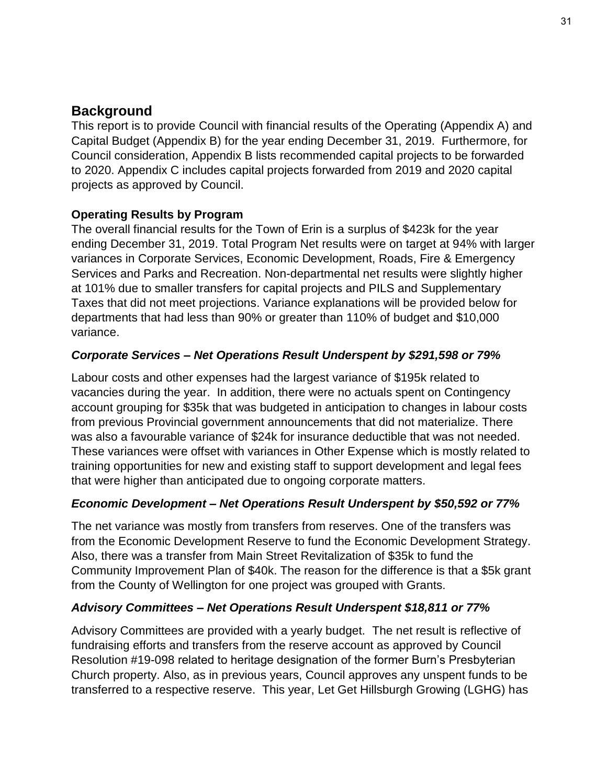# **Background**

This report is to provide Council with financial results of the Operating (Appendix A) and Capital Budget (Appendix B) for the year ending December 31, 2019. Furthermore, for Council consideration, Appendix B lists recommended capital projects to be forwarded to 2020. Appendix C includes capital projects forwarded from 2019 and 2020 capital projects as approved by Council.

### **Operating Results by Program**

The overall financial results for the Town of Erin is a surplus of \$423k for the year ending December 31, 2019. Total Program Net results were on target at 94% with larger variances in Corporate Services, Economic Development, Roads, Fire & Emergency Services and Parks and Recreation. Non-departmental net results were slightly higher at 101% due to smaller transfers for capital projects and PILS and Supplementary Taxes that did not meet projections. Variance explanations will be provided below for departments that had less than 90% or greater than 110% of budget and \$10,000 variance.

### *Corporate Services – Net Operations Result Underspent by \$291,598 or 79%*

Labour costs and other expenses had the largest variance of \$195k related to vacancies during the year. In addition, there were no actuals spent on Contingency account grouping for \$35k that was budgeted in anticipation to changes in labour costs from previous Provincial government announcements that did not materialize. There was also a favourable variance of \$24k for insurance deductible that was not needed. These variances were offset with variances in Other Expense which is mostly related to training opportunities for new and existing staff to support development and legal fees that were higher than anticipated due to ongoing corporate matters.

# *Economic Development – Net Operations Result Underspent by \$50,592 or 77%*

The net variance was mostly from transfers from reserves. One of the transfers was from the Economic Development Reserve to fund the Economic Development Strategy. Also, there was a transfer from Main Street Revitalization of \$35k to fund the Community Improvement Plan of \$40k. The reason for the difference is that a \$5k grant from the County of Wellington for one project was grouped with Grants.

#### *Advisory Committees – Net Operations Result Underspent \$18,811 or 77%*

Advisory Committees are provided with a yearly budget. The net result is reflective of fundraising efforts and transfers from the reserve account as approved by Council Resolution #19-098 related to heritage designation of the former Burn's Presbyterian Church property. Also, as in previous years, Council approves any unspent funds to be transferred to a respective reserve. This year, Let Get Hillsburgh Growing (LGHG) has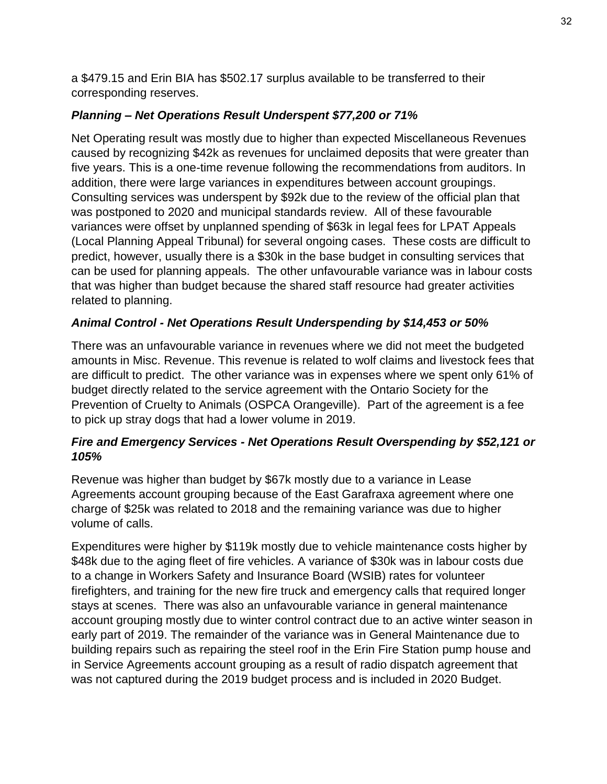a \$479.15 and Erin BIA has \$502.17 surplus available to be transferred to their corresponding reserves.

### *Planning – Net Operations Result Underspent \$77,200 or 71%*

Net Operating result was mostly due to higher than expected Miscellaneous Revenues caused by recognizing \$42k as revenues for unclaimed deposits that were greater than five years. This is a one-time revenue following the recommendations from auditors. In addition, there were large variances in expenditures between account groupings. Consulting services was underspent by \$92k due to the review of the official plan that was postponed to 2020 and municipal standards review. All of these favourable variances were offset by unplanned spending of \$63k in legal fees for LPAT Appeals (Local Planning Appeal Tribunal) for several ongoing cases. These costs are difficult to predict, however, usually there is a \$30k in the base budget in consulting services that can be used for planning appeals. The other unfavourable variance was in labour costs that was higher than budget because the shared staff resource had greater activities related to planning.

### *Animal Control - Net Operations Result Underspending by \$14,453 or 50%*

There was an unfavourable variance in revenues where we did not meet the budgeted amounts in Misc. Revenue. This revenue is related to wolf claims and livestock fees that are difficult to predict. The other variance was in expenses where we spent only 61% of budget directly related to the service agreement with the Ontario Society for the Prevention of Cruelty to Animals (OSPCA Orangeville). Part of the agreement is a fee to pick up stray dogs that had a lower volume in 2019.

### *Fire and Emergency Services - Net Operations Result Overspending by \$52,121 or 105%*

Revenue was higher than budget by \$67k mostly due to a variance in Lease Agreements account grouping because of the East Garafraxa agreement where one charge of \$25k was related to 2018 and the remaining variance was due to higher volume of calls.

Expenditures were higher by \$119k mostly due to vehicle maintenance costs higher by \$48k due to the aging fleet of fire vehicles. A variance of \$30k was in labour costs due to a change in Workers Safety and Insurance Board (WSIB) rates for volunteer firefighters, and training for the new fire truck and emergency calls that required longer stays at scenes. There was also an unfavourable variance in general maintenance account grouping mostly due to winter control contract due to an active winter season in early part of 2019. The remainder of the variance was in General Maintenance due to building repairs such as repairing the steel roof in the Erin Fire Station pump house and in Service Agreements account grouping as a result of radio dispatch agreement that was not captured during the 2019 budget process and is included in 2020 Budget.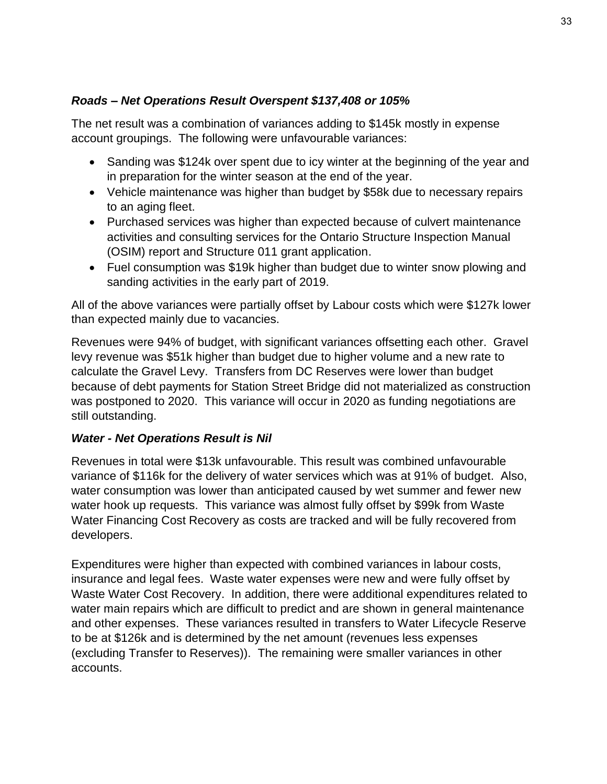### *Roads – Net Operations Result Overspent \$137,408 or 105%*

The net result was a combination of variances adding to \$145k mostly in expense account groupings. The following were unfavourable variances:

- Sanding was \$124k over spent due to icy winter at the beginning of the year and in preparation for the winter season at the end of the year.
- Vehicle maintenance was higher than budget by \$58k due to necessary repairs to an aging fleet.
- Purchased services was higher than expected because of culvert maintenance activities and consulting services for the Ontario Structure Inspection Manual (OSIM) report and Structure 011 grant application.
- Fuel consumption was \$19k higher than budget due to winter snow plowing and sanding activities in the early part of 2019.

All of the above variances were partially offset by Labour costs which were \$127k lower than expected mainly due to vacancies.

Revenues were 94% of budget, with significant variances offsetting each other. Gravel levy revenue was \$51k higher than budget due to higher volume and a new rate to calculate the Gravel Levy. Transfers from DC Reserves were lower than budget because of debt payments for Station Street Bridge did not materialized as construction was postponed to 2020. This variance will occur in 2020 as funding negotiations are still outstanding.

#### *Water - Net Operations Result is Nil*

Revenues in total were \$13k unfavourable. This result was combined unfavourable variance of \$116k for the delivery of water services which was at 91% of budget. Also, water consumption was lower than anticipated caused by wet summer and fewer new water hook up requests. This variance was almost fully offset by \$99k from Waste Water Financing Cost Recovery as costs are tracked and will be fully recovered from developers.

Expenditures were higher than expected with combined variances in labour costs, insurance and legal fees. Waste water expenses were new and were fully offset by Waste Water Cost Recovery. In addition, there were additional expenditures related to water main repairs which are difficult to predict and are shown in general maintenance and other expenses. These variances resulted in transfers to Water Lifecycle Reserve to be at \$126k and is determined by the net amount (revenues less expenses (excluding Transfer to Reserves)). The remaining were smaller variances in other accounts.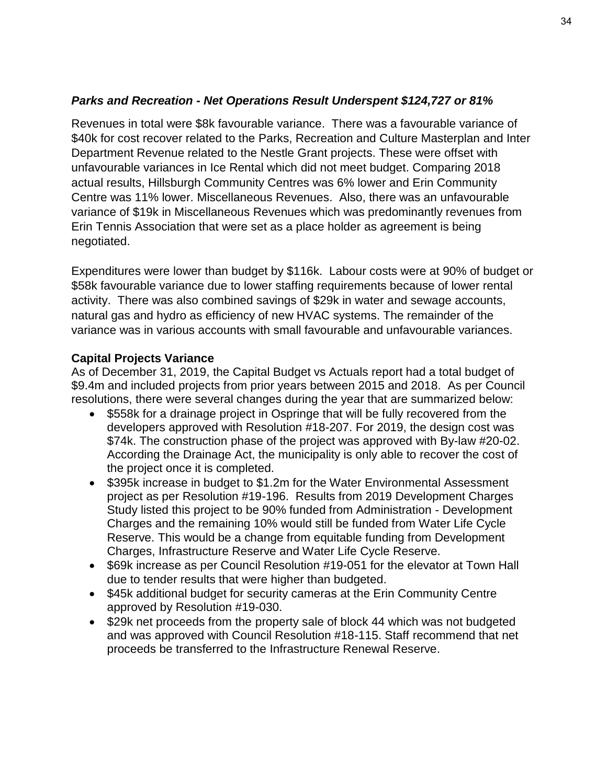#### *Parks and Recreation - Net Operations Result Underspent \$124,727 or 81%*

Revenues in total were \$8k favourable variance. There was a favourable variance of \$40k for cost recover related to the Parks, Recreation and Culture Masterplan and Inter Department Revenue related to the Nestle Grant projects. These were offset with unfavourable variances in Ice Rental which did not meet budget. Comparing 2018 actual results, Hillsburgh Community Centres was 6% lower and Erin Community Centre was 11% lower. Miscellaneous Revenues. Also, there was an unfavourable variance of \$19k in Miscellaneous Revenues which was predominantly revenues from Erin Tennis Association that were set as a place holder as agreement is being negotiated.

Expenditures were lower than budget by \$116k. Labour costs were at 90% of budget or \$58k favourable variance due to lower staffing requirements because of lower rental activity. There was also combined savings of \$29k in water and sewage accounts, natural gas and hydro as efficiency of new HVAC systems. The remainder of the variance was in various accounts with small favourable and unfavourable variances.

#### **Capital Projects Variance**

As of December 31, 2019, the Capital Budget vs Actuals report had a total budget of \$9.4m and included projects from prior years between 2015 and 2018. As per Council resolutions, there were several changes during the year that are summarized below:

- \$558k for a drainage project in Ospringe that will be fully recovered from the developers approved with Resolution #18-207. For 2019, the design cost was \$74k. The construction phase of the project was approved with By-law #20-02. According the Drainage Act, the municipality is only able to recover the cost of the project once it is completed.
- \$395k increase in budget to \$1.2m for the Water Environmental Assessment project as per Resolution #19-196. Results from 2019 Development Charges Study listed this project to be 90% funded from Administration - Development Charges and the remaining 10% would still be funded from Water Life Cycle Reserve. This would be a change from equitable funding from Development Charges, Infrastructure Reserve and Water Life Cycle Reserve.
- \$69k increase as per Council Resolution #19-051 for the elevator at Town Hall due to tender results that were higher than budgeted.
- \$45k additional budget for security cameras at the Erin Community Centre approved by Resolution #19-030.
- \$29k net proceeds from the property sale of block 44 which was not budgeted and was approved with Council Resolution #18-115. Staff recommend that net proceeds be transferred to the Infrastructure Renewal Reserve.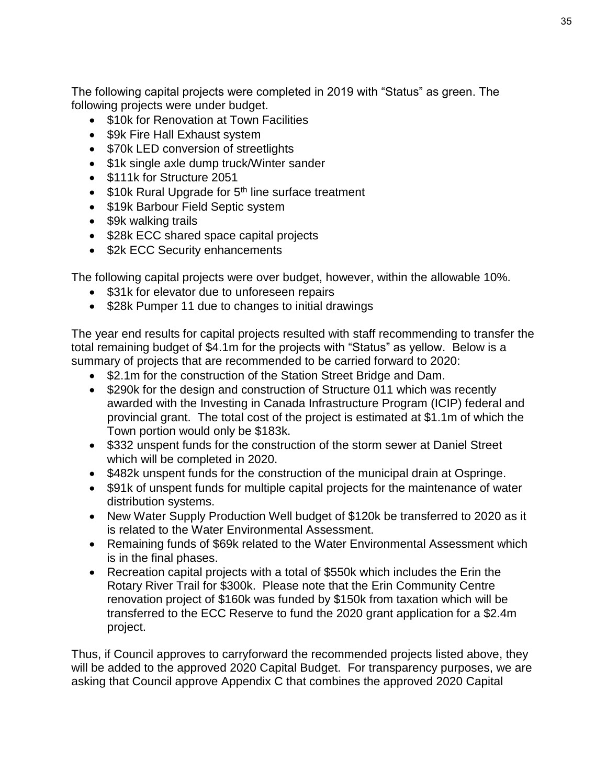The following capital projects were completed in 2019 with "Status" as green. The following projects were under budget.

- \$10k for Renovation at Town Facilities
- \$9k Fire Hall Exhaust system
- \$70k LED conversion of streetlights
- \$1k single axle dump truck/Winter sander
- \$111k for Structure 2051
- $\bullet$  \$10k Rural Upgrade for 5<sup>th</sup> line surface treatment
- \$19k Barbour Field Septic system
- \$9k walking trails
- \$28k ECC shared space capital projects
- \$2k ECC Security enhancements

The following capital projects were over budget, however, within the allowable 10%.

- \$31k for elevator due to unforeseen repairs
- \$28k Pumper 11 due to changes to initial drawings

The year end results for capital projects resulted with staff recommending to transfer the total remaining budget of \$4.1m for the projects with "Status" as yellow. Below is a summary of projects that are recommended to be carried forward to 2020:

- \$2.1m for the construction of the Station Street Bridge and Dam.
- \$290k for the design and construction of Structure 011 which was recently awarded with the Investing in Canada Infrastructure Program (ICIP) federal and provincial grant. The total cost of the project is estimated at \$1.1m of which the Town portion would only be \$183k.
- \$332 unspent funds for the construction of the storm sewer at Daniel Street which will be completed in 2020.
- \$482k unspent funds for the construction of the municipal drain at Ospringe.
- \$91k of unspent funds for multiple capital projects for the maintenance of water distribution systems.
- New Water Supply Production Well budget of \$120k be transferred to 2020 as it is related to the Water Environmental Assessment.
- Remaining funds of \$69k related to the Water Environmental Assessment which is in the final phases.
- Recreation capital projects with a total of \$550k which includes the Erin the Rotary River Trail for \$300k. Please note that the Erin Community Centre renovation project of \$160k was funded by \$150k from taxation which will be transferred to the ECC Reserve to fund the 2020 grant application for a \$2.4m project.

Thus, if Council approves to carryforward the recommended projects listed above, they will be added to the approved 2020 Capital Budget. For transparency purposes, we are asking that Council approve Appendix C that combines the approved 2020 Capital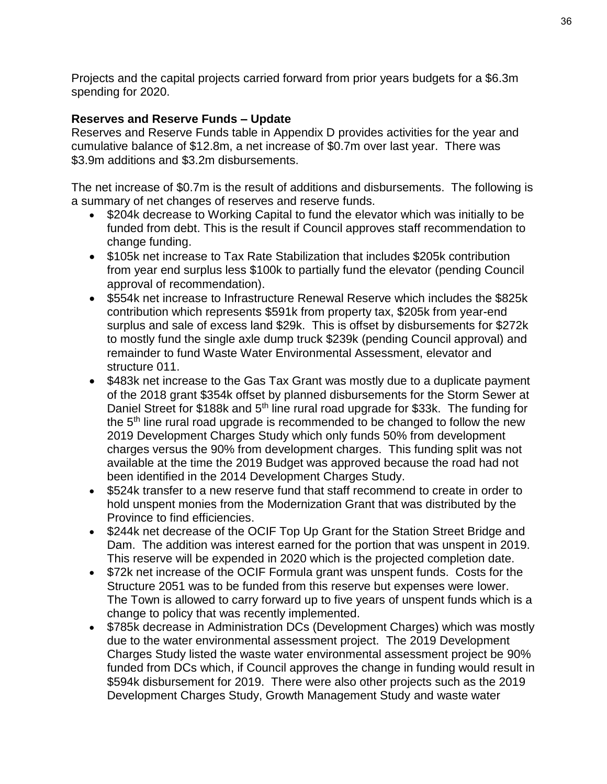Projects and the capital projects carried forward from prior years budgets for a \$6.3m spending for 2020.

#### **Reserves and Reserve Funds – Update**

Reserves and Reserve Funds table in Appendix D provides activities for the year and cumulative balance of \$12.8m, a net increase of \$0.7m over last year. There was \$3.9m additions and \$3.2m disbursements.

The net increase of \$0.7m is the result of additions and disbursements. The following is a summary of net changes of reserves and reserve funds.

- \$204k decrease to Working Capital to fund the elevator which was initially to be funded from debt. This is the result if Council approves staff recommendation to change funding.
- \$105k net increase to Tax Rate Stabilization that includes \$205k contribution from year end surplus less \$100k to partially fund the elevator (pending Council approval of recommendation).
- \$554k net increase to Infrastructure Renewal Reserve which includes the \$825k contribution which represents \$591k from property tax, \$205k from year-end surplus and sale of excess land \$29k. This is offset by disbursements for \$272k to mostly fund the single axle dump truck \$239k (pending Council approval) and remainder to fund Waste Water Environmental Assessment, elevator and structure 011.
- \$483k net increase to the Gas Tax Grant was mostly due to a duplicate payment of the 2018 grant \$354k offset by planned disbursements for the Storm Sewer at Daniel Street for \$188k and 5<sup>th</sup> line rural road upgrade for \$33k. The funding for the 5<sup>th</sup> line rural road upgrade is recommended to be changed to follow the new 2019 Development Charges Study which only funds 50% from development charges versus the 90% from development charges. This funding split was not available at the time the 2019 Budget was approved because the road had not been identified in the 2014 Development Charges Study.
- \$524k transfer to a new reserve fund that staff recommend to create in order to hold unspent monies from the Modernization Grant that was distributed by the Province to find efficiencies.
- \$244k net decrease of the OCIF Top Up Grant for the Station Street Bridge and Dam. The addition was interest earned for the portion that was unspent in 2019. This reserve will be expended in 2020 which is the projected completion date.
- \$72k net increase of the OCIF Formula grant was unspent funds. Costs for the Structure 2051 was to be funded from this reserve but expenses were lower. The Town is allowed to carry forward up to five years of unspent funds which is a change to policy that was recently implemented.
- \$785k decrease in Administration DCs (Development Charges) which was mostly due to the water environmental assessment project. The 2019 Development Charges Study listed the waste water environmental assessment project be 90% funded from DCs which, if Council approves the change in funding would result in \$594k disbursement for 2019. There were also other projects such as the 2019 Development Charges Study, Growth Management Study and waste water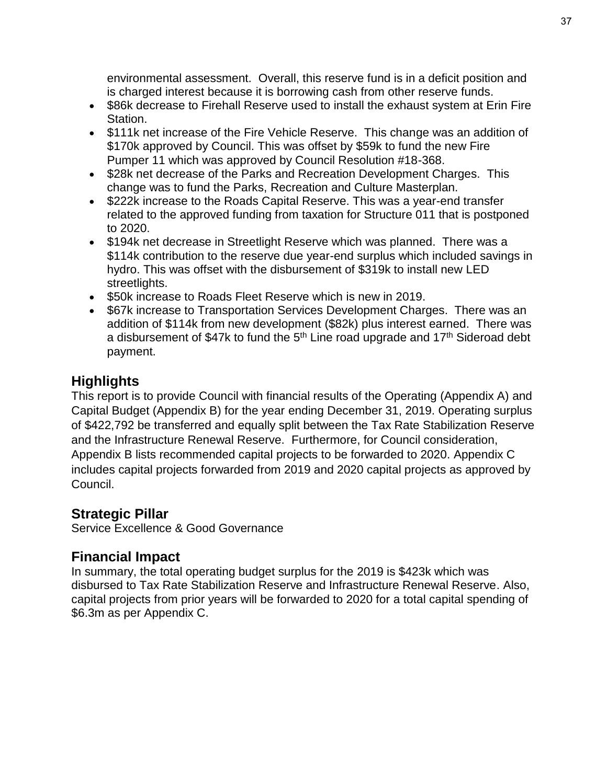environmental assessment. Overall, this reserve fund is in a deficit position and is charged interest because it is borrowing cash from other reserve funds.

- \$86k decrease to Firehall Reserve used to install the exhaust system at Erin Fire Station.
- \$111k net increase of the Fire Vehicle Reserve. This change was an addition of \$170k approved by Council. This was offset by \$59k to fund the new Fire Pumper 11 which was approved by Council Resolution #18-368.
- \$28k net decrease of the Parks and Recreation Development Charges. This change was to fund the Parks, Recreation and Culture Masterplan.
- \$222k increase to the Roads Capital Reserve. This was a year-end transfer related to the approved funding from taxation for Structure 011 that is postponed to 2020.
- \$194k net decrease in Streetlight Reserve which was planned. There was a \$114k contribution to the reserve due year-end surplus which included savings in hydro. This was offset with the disbursement of \$319k to install new LED streetlights.
- \$50k increase to Roads Fleet Reserve which is new in 2019.
- \$67k increase to Transportation Services Development Charges. There was an addition of \$114k from new development (\$82k) plus interest earned. There was a disbursement of \$47k to fund the  $5<sup>th</sup>$  Line road upgrade and 17<sup>th</sup> Sideroad debt payment.

# **Highlights**

This report is to provide Council with financial results of the Operating (Appendix A) and Capital Budget (Appendix B) for the year ending December 31, 2019. Operating surplus of \$422,792 be transferred and equally split between the Tax Rate Stabilization Reserve and the Infrastructure Renewal Reserve. Furthermore, for Council consideration, Appendix B lists recommended capital projects to be forwarded to 2020. Appendix C includes capital projects forwarded from 2019 and 2020 capital projects as approved by Council.

# **Strategic Pillar**

Service Excellence & Good Governance

# **Financial Impact**

In summary, the total operating budget surplus for the 2019 is \$423k which was disbursed to Tax Rate Stabilization Reserve and Infrastructure Renewal Reserve. Also, capital projects from prior years will be forwarded to 2020 for a total capital spending of \$6.3m as per Appendix C.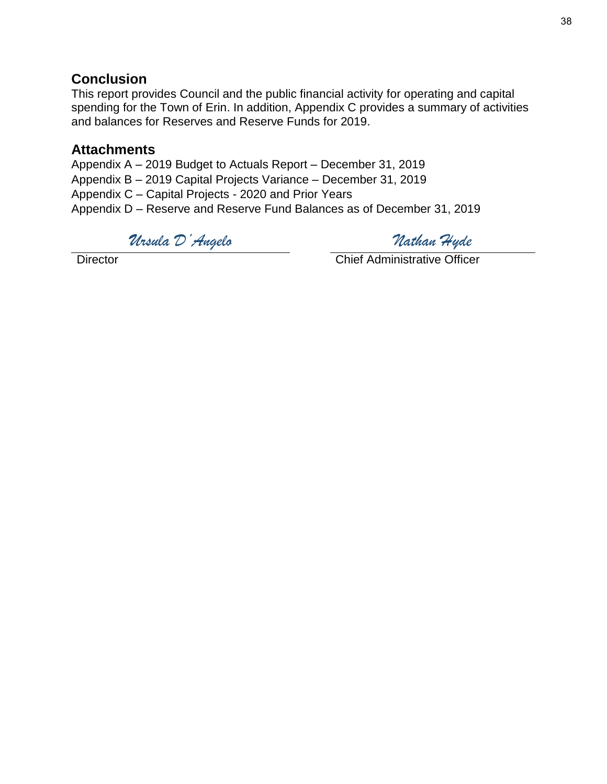# **Conclusion**

This report provides Council and the public financial activity for operating and capital spending for the Town of Erin. In addition, Appendix C provides a summary of activities and balances for Reserves and Reserve Funds for 2019.

### **Attachments**

Appendix A – 2019 Budget to Actuals Report – December 31, 2019 Appendix B – 2019 Capital Projects Variance – December 31, 2019 Appendix C – Capital Projects - 2020 and Prior Years Appendix D – Reserve and Reserve Fund Balances as of December 31, 2019

*Ursula D'Angelo Nathan Hyde*

**Director** Chief Administrative Officer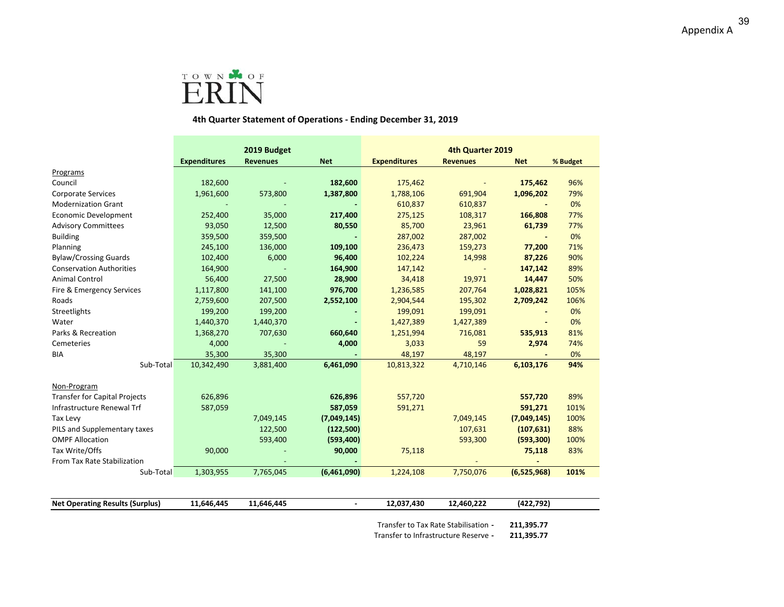

**4th Quarter Statement of Operations ‐ Ending December 31, 2019**

|                                        |                     | 2019 Budget     |                |                     | 4th Quarter 2019 |             |          |
|----------------------------------------|---------------------|-----------------|----------------|---------------------|------------------|-------------|----------|
|                                        | <b>Expenditures</b> | <b>Revenues</b> | <b>Net</b>     | <b>Expenditures</b> | <b>Revenues</b>  | <b>Net</b>  | % Budget |
| Programs                               |                     |                 |                |                     |                  |             |          |
| Council                                | 182,600             |                 | 182,600        | 175,462             |                  | 175,462     | 96%      |
| Corporate Services                     | 1,961,600           | 573,800         | 1,387,800      | 1,788,106           | 691,904          | 1,096,202   | 79%      |
| <b>Modernization Grant</b>             |                     |                 |                | 610,837             | 610,837          |             | 0%       |
| <b>Economic Development</b>            | 252,400             | 35,000          | 217,400        | 275,125             | 108,317          | 166,808     | 77%      |
| <b>Advisory Committees</b>             | 93,050              | 12,500          | 80,550         | 85,700              | 23,961           | 61,739      | 77%      |
| <b>Building</b>                        | 359,500             | 359,500         |                | 287,002             | 287,002          |             | 0%       |
| Planning                               | 245,100             | 136,000         | 109,100        | 236,473             | 159,273          | 77,200      | 71%      |
| <b>Bylaw/Crossing Guards</b>           | 102,400             | 6,000           | 96,400         | 102,224             | 14,998           | 87,226      | 90%      |
| <b>Conservation Authorities</b>        | 164,900             |                 | 164,900        | 147,142             |                  | 147,142     | 89%      |
| <b>Animal Control</b>                  | 56,400              | 27,500          | 28,900         | 34,418              | 19,971           | 14,447      | 50%      |
| Fire & Emergency Services              | 1,117,800           | 141,100         | 976,700        | 1,236,585           | 207,764          | 1,028,821   | 105%     |
| Roads                                  | 2,759,600           | 207,500         | 2,552,100      | 2,904,544           | 195,302          | 2,709,242   | 106%     |
| Streetlights                           | 199,200             | 199,200         |                | 199,091             | 199,091          |             | 0%       |
| Water                                  | 1,440,370           | 1,440,370       |                | 1,427,389           | 1,427,389        |             | 0%       |
| Parks & Recreation                     | 1,368,270           | 707,630         | 660,640        | 1,251,994           | 716,081          | 535,913     | 81%      |
| Cemeteries                             | 4,000               |                 | 4,000          | 3,033               | 59               | 2,974       | 74%      |
| BIA                                    | 35,300              | 35,300          |                | 48,197              | 48,197           |             | 0%       |
| Sub-Total                              | 10,342,490          | 3,881,400       | 6,461,090      | 10,813,322          | 4,710,146        | 6,103,176   | 94%      |
| Non-Program                            |                     |                 |                |                     |                  |             |          |
| <b>Transfer for Capital Projects</b>   | 626,896             |                 | 626,896        | 557,720             |                  | 557,720     | 89%      |
| Infrastructure Renewal Trf             | 587,059             |                 | 587,059        | 591,271             |                  | 591,271     | 101%     |
| Tax Levy                               |                     | 7,049,145       | (7,049,145)    |                     | 7,049,145        | (7,049,145) | 100%     |
| PILS and Supplementary taxes           |                     | 122,500         | (122,500)      |                     | 107,631          | (107, 631)  | 88%      |
| <b>OMPF Allocation</b>                 |                     | 593,400         | (593, 400)     |                     | 593,300          | (593, 300)  | 100%     |
| Tax Write/Offs                         | 90,000              |                 | 90,000         | 75,118              |                  | 75,118      | 83%      |
| From Tax Rate Stabilization            |                     |                 |                |                     |                  |             |          |
| Sub-Total                              | 1,303,955           | 7,765,045       | (6,461,090)    | 1,224,108           | 7,750,076        | (6,525,968) | 101%     |
|                                        |                     |                 |                |                     |                  |             |          |
| <b>Net Operating Results (Surplus)</b> | 11,646,445          | 11,646,445      | $\blacksquare$ | 12,037,430          | 12,460,222       | (422, 792)  |          |

Transfer to Tax Rate Stabilisation**‐ 211,395.77**

Transfer to Infrastructure Reserve**‐ 211,395.77**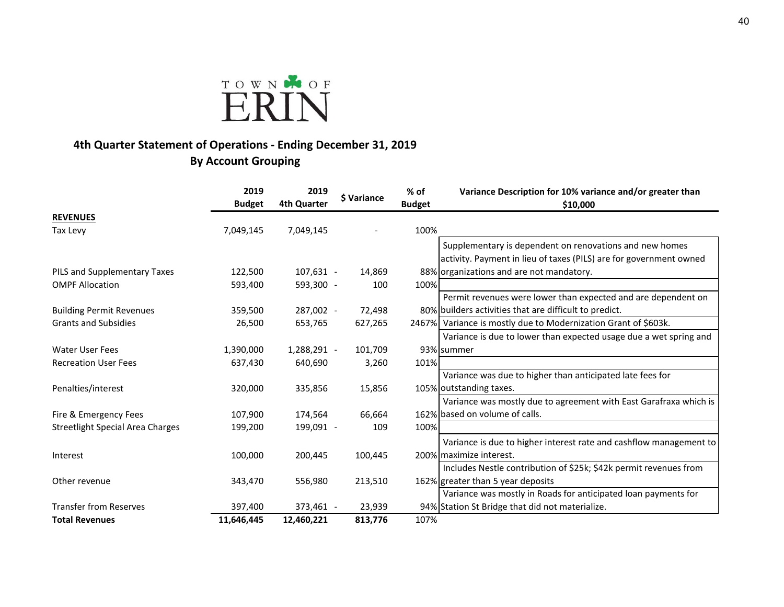

# **4th Quarter Statement of Operations ‐ Ending December 31, 2019 By Account Grouping**

|                                         | 2019<br><b>Budget</b> | 2019<br>4th Quarter | \$ Variance | $%$ of<br><b>Budget</b> | Variance Description for 10% variance and/or greater than<br>\$10,000 |
|-----------------------------------------|-----------------------|---------------------|-------------|-------------------------|-----------------------------------------------------------------------|
| <b>REVENUES</b>                         |                       |                     |             |                         |                                                                       |
| Tax Levy                                | 7,049,145             | 7,049,145           |             | 100%                    |                                                                       |
|                                         |                       |                     |             |                         | Supplementary is dependent on renovations and new homes               |
|                                         |                       |                     |             |                         | activity. Payment in lieu of taxes (PILS) are for government owned    |
| PILS and Supplementary Taxes            | 122,500               | 107,631 -           | 14,869      |                         | 88% organizations and are not mandatory.                              |
| <b>OMPF Allocation</b>                  | 593,400               | 593,300 -           | 100         | 100%                    |                                                                       |
|                                         |                       |                     |             |                         | Permit revenues were lower than expected and are dependent on         |
| <b>Building Permit Revenues</b>         | 359,500               | 287,002 -           | 72,498      |                         | 80% builders activities that are difficult to predict.                |
| <b>Grants and Subsidies</b>             | 26,500                | 653,765             | 627,265     |                         | 2467% Variance is mostly due to Modernization Grant of \$603k.        |
|                                         |                       |                     |             |                         | Variance is due to lower than expected usage due a wet spring and     |
| Water User Fees                         | 1,390,000             | 1,288,291 -         | 101,709     |                         | 93% summer                                                            |
| <b>Recreation User Fees</b>             | 637,430               | 640,690             | 3,260       | 101%                    |                                                                       |
|                                         |                       |                     |             |                         | Variance was due to higher than anticipated late fees for             |
| Penalties/interest                      | 320,000               | 335,856             | 15,856      |                         | 105% outstanding taxes.                                               |
|                                         |                       |                     |             |                         | Variance was mostly due to agreement with East Garafraxa which is     |
| Fire & Emergency Fees                   | 107,900               | 174,564             | 66,664      |                         | 162% based on volume of calls.                                        |
| <b>Streetlight Special Area Charges</b> | 199,200               | 199,091 -           | 109         | 100%                    |                                                                       |
|                                         |                       |                     |             |                         | Variance is due to higher interest rate and cashflow management to    |
| Interest                                | 100,000               | 200,445             | 100,445     |                         | 200% maximize interest.                                               |
|                                         |                       |                     |             |                         | Includes Nestle contribution of \$25k; \$42k permit revenues from     |
| Other revenue                           | 343,470               | 556,980             | 213,510     |                         | 162% greater than 5 year deposits                                     |
|                                         |                       |                     |             |                         | Variance was mostly in Roads for anticipated loan payments for        |
| <b>Transfer from Reserves</b>           | 397,400               | 373,461 -           | 23,939      |                         | 94% Station St Bridge that did not materialize.                       |
| <b>Total Revenues</b>                   | 11,646,445            | 12,460,221          | 813,776     | 107%                    |                                                                       |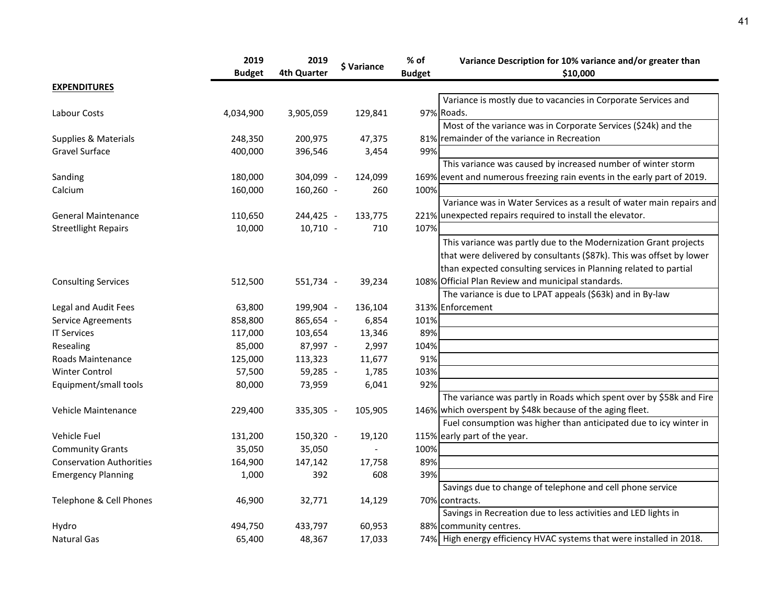|                                 | 2019<br><b>Budget</b> | 2019<br><b>4th Quarter</b> | \$ Variance | $%$ of<br><b>Budget</b> | Variance Description for 10% variance and/or greater than<br>\$10,000   |
|---------------------------------|-----------------------|----------------------------|-------------|-------------------------|-------------------------------------------------------------------------|
| <b>EXPENDITURES</b>             |                       |                            |             |                         |                                                                         |
|                                 |                       |                            |             |                         | Variance is mostly due to vacancies in Corporate Services and           |
| Labour Costs                    | 4,034,900             | 3,905,059                  | 129,841     |                         | 97% Roads.                                                              |
|                                 |                       |                            |             |                         | Most of the variance was in Corporate Services (\$24k) and the          |
| <b>Supplies &amp; Materials</b> | 248,350               | 200,975                    | 47,375      |                         | 81% remainder of the variance in Recreation                             |
| Gravel Surface                  | 400,000               | 396,546                    | 3,454       | 99%                     |                                                                         |
|                                 |                       |                            |             |                         | This variance was caused by increased number of winter storm            |
| Sanding                         | 180,000               | 304,099 -                  | 124,099     |                         | 169% event and numerous freezing rain events in the early part of 2019. |
| Calcium                         | 160,000               | 160,260 -                  | 260         | 100%                    |                                                                         |
|                                 |                       |                            |             |                         | Variance was in Water Services as a result of water main repairs and    |
| <b>General Maintenance</b>      | 110,650               | 244,425 -                  | 133,775     |                         | 221% unexpected repairs required to install the elevator.               |
| <b>Streetllight Repairs</b>     | 10,000                | $10,710 -$                 | 710         | 107%                    |                                                                         |
|                                 |                       |                            |             |                         | This variance was partly due to the Modernization Grant projects        |
|                                 |                       |                            |             |                         | that were delivered by consultants (\$87k). This was offset by lower    |
|                                 |                       |                            |             |                         | than expected consulting services in Planning related to partial        |
| <b>Consulting Services</b>      | 512,500               | 551,734 -                  | 39,234      |                         | 108% Official Plan Review and municipal standards.                      |
|                                 |                       |                            |             |                         | The variance is due to LPAT appeals (\$63k) and in By-law               |
| Legal and Audit Fees            | 63,800                | 199,904 -                  | 136,104     |                         | 313% Enforcement                                                        |
| Service Agreements              | 858,800               | 865,654 -                  | 6,854       | 101%                    |                                                                         |
| <b>IT Services</b>              | 117,000               | 103,654                    | 13,346      | 89%                     |                                                                         |
| Resealing                       | 85,000                | 87,997 -                   | 2,997       | 104%                    |                                                                         |
| Roads Maintenance               | 125,000               | 113,323                    | 11,677      | 91%                     |                                                                         |
| <b>Winter Control</b>           | 57,500                | 59,285 -                   | 1,785       | 103%                    |                                                                         |
| Equipment/small tools           | 80,000                | 73,959                     | 6,041       | 92%                     |                                                                         |
|                                 |                       |                            |             |                         | The variance was partly in Roads which spent over by \$58k and Fire     |
| Vehicle Maintenance             | 229,400               | 335,305 -                  | 105,905     |                         | 146% which overspent by \$48k because of the aging fleet.               |
|                                 |                       |                            |             |                         | Fuel consumption was higher than anticipated due to icy winter in       |
| Vehicle Fuel                    | 131,200               | 150,320 -                  | 19,120      |                         | 115% early part of the year.                                            |
| <b>Community Grants</b>         | 35,050                | 35,050                     |             | 100%                    |                                                                         |
| <b>Conservation Authorities</b> | 164,900               | 147,142                    | 17,758      | 89%                     |                                                                         |
| <b>Emergency Planning</b>       | 1,000                 | 392                        | 608         | 39%                     |                                                                         |
|                                 |                       |                            |             |                         | Savings due to change of telephone and cell phone service               |
| Telephone & Cell Phones         | 46,900                | 32,771                     | 14,129      |                         | 70% contracts.                                                          |
|                                 |                       |                            |             |                         | Savings in Recreation due to less activities and LED lights in          |
| Hydro                           | 494,750               | 433,797                    | 60,953      |                         | 88% community centres.                                                  |
| <b>Natural Gas</b>              | 65,400                | 48,367                     | 17,033      |                         | 74% High energy efficiency HVAC systems that were installed in 2018.    |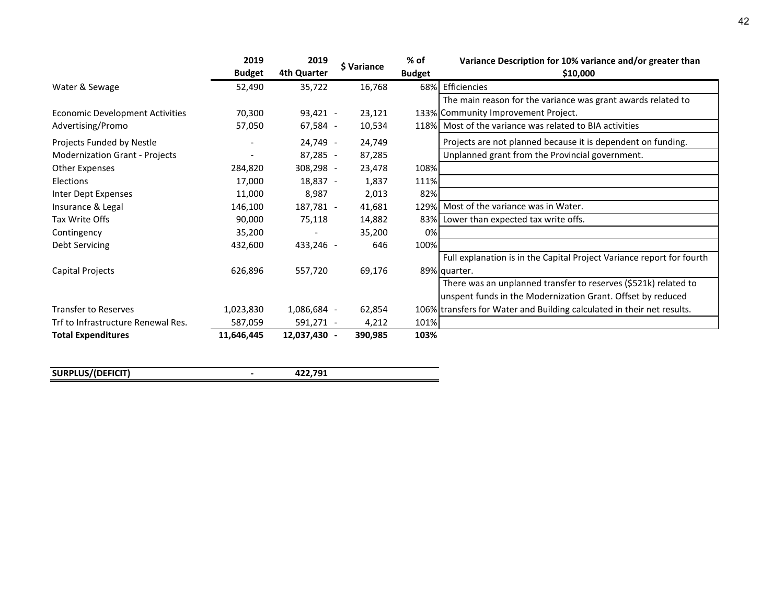|                                        | 2019          | 2019         | \$ Variance | % of          | Variance Description for 10% variance and/or greater than              |
|----------------------------------------|---------------|--------------|-------------|---------------|------------------------------------------------------------------------|
|                                        | <b>Budget</b> | 4th Quarter  |             | <b>Budget</b> | \$10,000                                                               |
| Water & Sewage                         | 52,490        | 35,722       | 16,768      |               | 68% Efficiencies                                                       |
|                                        |               |              |             |               | The main reason for the variance was grant awards related to           |
| <b>Economic Development Activities</b> | 70,300        | 93,421 -     | 23,121      |               | 133% Community Improvement Project.                                    |
| Advertising/Promo                      | 57,050        | 67,584 -     | 10,534      |               | 118% Most of the variance was related to BIA activities                |
| Projects Funded by Nestle              |               | 24,749 -     | 24,749      |               | Projects are not planned because it is dependent on funding.           |
| <b>Modernization Grant - Projects</b>  |               | 87,285 -     | 87,285      |               | Unplanned grant from the Provincial government.                        |
| <b>Other Expenses</b>                  | 284,820       | 308,298 -    | 23,478      | 108%          |                                                                        |
| <b>Elections</b>                       | 17,000        | 18,837 -     | 1,837       | 111%          |                                                                        |
| Inter Dept Expenses                    | 11,000        | 8,987        | 2,013       | 82%           |                                                                        |
| Insurance & Legal                      | 146,100       | 187,781 -    | 41,681      |               | 129% Most of the variance was in Water.                                |
| Tax Write Offs                         | 90,000        | 75,118       | 14,882      |               | 83% Lower than expected tax write offs.                                |
| Contingency                            | 35,200        |              | 35,200      | 0%            |                                                                        |
| Debt Servicing                         | 432,600       | 433,246 -    | 646         | 100%          |                                                                        |
|                                        |               |              |             |               | Full explanation is in the Capital Project Variance report for fourth  |
| Capital Projects                       | 626,896       | 557,720      | 69,176      |               | 89% quarter.                                                           |
|                                        |               |              |             |               | There was an unplanned transfer to reserves (\$521k) related to        |
|                                        |               |              |             |               | unspent funds in the Modernization Grant. Offset by reduced            |
| <b>Transfer to Reserves</b>            | 1,023,830     | 1,086,684 -  | 62,854      |               | 106% transfers for Water and Building calculated in their net results. |
| Trf to Infrastructure Renewal Res.     | 587,059       | 591,271 -    | 4,212       | 101%          |                                                                        |
| <b>Total Expenditures</b>              | 11,646,445    | 12,037,430 - | 390,985     | 103%          |                                                                        |
|                                        |               |              |             |               |                                                                        |
|                                        |               |              |             |               |                                                                        |

| SURPLUS/(DEFICIT) | . <i>.</i> |
|-------------------|------------|
|                   |            |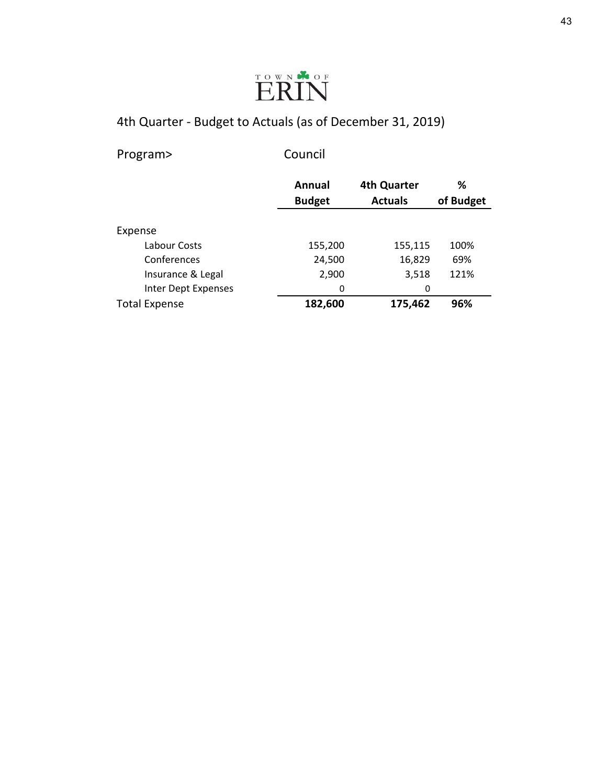

Program> Council

|                      | Annual<br><b>Budget</b> | <b>4th Quarter</b><br><b>Actuals</b> | ℅<br>of Budget |
|----------------------|-------------------------|--------------------------------------|----------------|
| Expense              |                         |                                      |                |
| Labour Costs         | 155,200                 | 155,115                              | 100%           |
| Conferences          | 24,500                  | 16,829                               | 69%            |
| Insurance & Legal    | 2,900                   | 3,518                                | 121%           |
| Inter Dept Expenses  | 0                       | 0                                    |                |
| <b>Total Expense</b> | 182,600                 | 175,462                              | 96%            |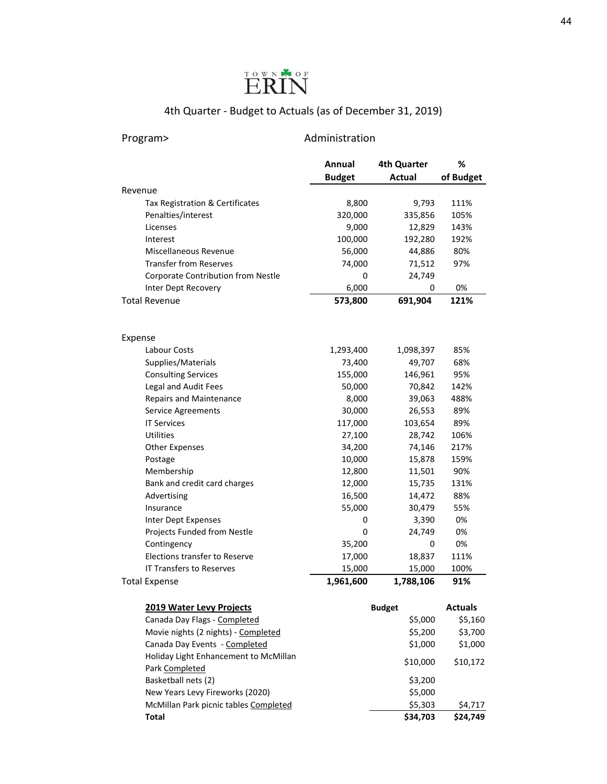### Program> Administration

|                                                         | Annual        | 4th Quarter   | %              |
|---------------------------------------------------------|---------------|---------------|----------------|
|                                                         | <b>Budget</b> | <b>Actual</b> | of Budget      |
| Revenue                                                 |               |               |                |
| Tax Registration & Certificates                         | 8,800         | 9,793         | 111%           |
| Penalties/interest                                      | 320,000       | 335,856       | 105%           |
| Licenses                                                | 9,000         | 12,829        | 143%           |
| Interest                                                | 100,000       | 192,280       | 192%           |
| Miscellaneous Revenue                                   | 56,000        | 44,886        | 80%            |
| <b>Transfer from Reserves</b>                           | 74,000        | 71,512        | 97%            |
| Corporate Contribution from Nestle                      | 0             | 24,749        |                |
| Inter Dept Recovery                                     | 6,000         | 0             | 0%             |
| <b>Total Revenue</b>                                    | 573,800       | 691,904       | 121%           |
| Expense                                                 |               |               |                |
| Labour Costs                                            | 1,293,400     | 1,098,397     | 85%            |
| Supplies/Materials                                      | 73,400        | 49,707        | 68%            |
| <b>Consulting Services</b>                              | 155,000       | 146,961       | 95%            |
| Legal and Audit Fees                                    | 50,000        | 70,842        | 142%           |
| Repairs and Maintenance                                 | 8,000         | 39,063        | 488%           |
| Service Agreements                                      | 30,000        | 26,553        | 89%            |
| <b>IT Services</b>                                      | 117,000       | 103,654       | 89%            |
| Utilities                                               | 27,100        | 28,742        | 106%           |
| <b>Other Expenses</b>                                   | 34,200        | 74,146        | 217%           |
| Postage                                                 | 10,000        | 15,878        | 159%           |
| Membership                                              | 12,800        | 11,501        | 90%            |
| Bank and credit card charges                            | 12,000        | 15,735        | 131%           |
| Advertising                                             | 16,500        | 14,472        | 88%            |
| Insurance                                               | 55,000        | 30,479        | 55%            |
| Inter Dept Expenses                                     | 0             | 3,390         | 0%             |
| Projects Funded from Nestle                             | 0             | 24,749        | 0%             |
| Contingency                                             | 35,200        | 0             | 0%             |
| Elections transfer to Reserve                           | 17,000        | 18,837        | 111%           |
| <b>IT Transfers to Reserves</b>                         | 15,000        | 15,000        | 100%           |
| <b>Total Expense</b>                                    | 1,961,600     | 1,788,106     | 91%            |
| 2019 Water Levy Projects                                |               | <b>Budget</b> | <b>Actuals</b> |
| Canada Day Flags - Completed                            |               | \$5,000       | \$5,160        |
| Movie nights (2 nights) - Completed                     |               | \$5,200       | \$3,700        |
| Canada Day Events - Completed                           |               | \$1,000       | \$1,000        |
| Holiday Light Enhancement to McMillan<br>Park Completed |               | \$10,000      | \$10,172       |
| Basketball nets (2)                                     |               | \$3,200       |                |
| New Years Levy Fireworks (2020)                         |               | \$5,000       |                |
| McMillan Park picnic tables Completed                   |               | \$5,303       | \$4,717        |
| <b>Total</b>                                            |               | \$34,703      | \$24,749       |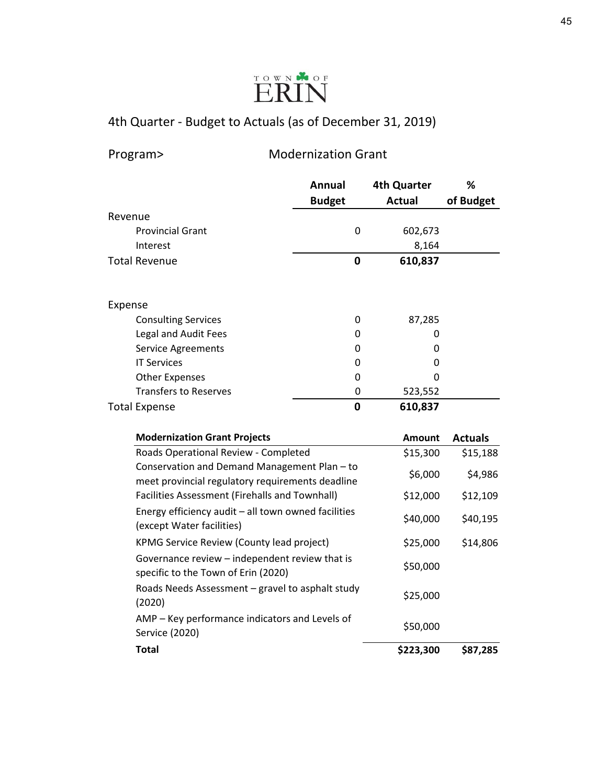

Program> Modernization Grant

45

|         |                                                                                                  | Annual        | <b>4th Quarter</b> | %              |
|---------|--------------------------------------------------------------------------------------------------|---------------|--------------------|----------------|
|         |                                                                                                  | <b>Budget</b> | <b>Actual</b>      | of Budget      |
| Revenue |                                                                                                  |               |                    |                |
|         | <b>Provincial Grant</b>                                                                          | 0             | 602,673            |                |
|         | Interest                                                                                         |               | 8,164              |                |
|         | <b>Total Revenue</b>                                                                             | $\mathbf 0$   | 610,837            |                |
| Expense |                                                                                                  |               |                    |                |
|         | <b>Consulting Services</b>                                                                       | 0             | 87,285             |                |
|         | Legal and Audit Fees                                                                             | 0             | 0                  |                |
|         | <b>Service Agreements</b>                                                                        | 0             | 0                  |                |
|         | <b>IT Services</b>                                                                               | 0             | 0                  |                |
|         | <b>Other Expenses</b>                                                                            | 0             | 0                  |                |
|         | <b>Transfers to Reserves</b>                                                                     | 0             | 523,552            |                |
|         | Total Expense                                                                                    | $\mathbf 0$   | 610,837            |                |
|         |                                                                                                  |               |                    |                |
|         | <b>Modernization Grant Projects</b>                                                              |               | <b>Amount</b>      | <b>Actuals</b> |
|         | Roads Operational Review - Completed                                                             |               | \$15,300           | \$15,188       |
|         | Conservation and Demand Management Plan - to<br>meet provincial regulatory requirements deadline |               | \$6,000            | \$4,986        |
|         | Facilities Assessment (Firehalls and Townhall)                                                   |               | \$12,000           | \$12,109       |
|         | Energy efficiency audit - all town owned facilities<br>(except Water facilities)                 |               | \$40,000           | \$40,195       |
|         | KPMG Service Review (County lead project)                                                        |               | \$25,000           | \$14,806       |
|         | Governance review - independent review that is<br>specific to the Town of Erin (2020)            |               | \$50,000           |                |
|         | Roads Needs Assessment - gravel to asphalt study<br>(2020)                                       |               | \$25,000           |                |

**Total \$223,300 \$87,285** 

AMP – Key performance indicators and Levels of

Service (2020)

\$50,000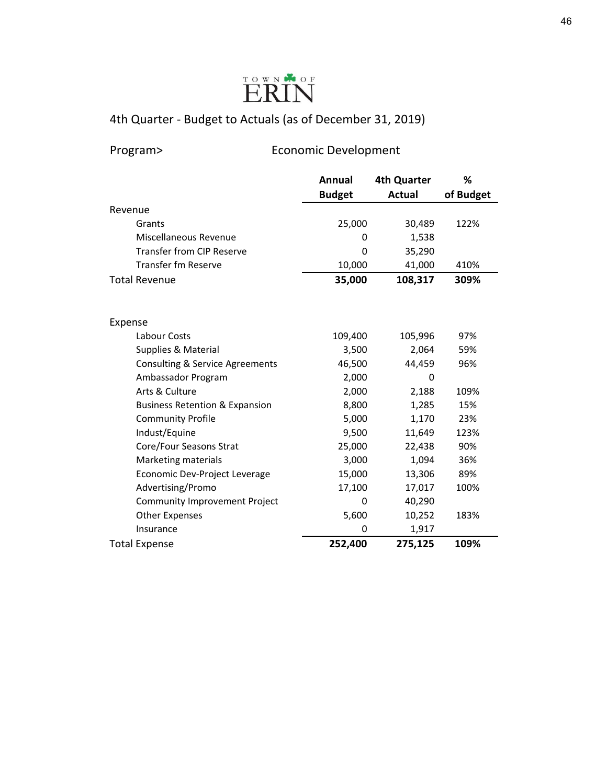

# Program> Economic Development

|                                            | Annual        | <b>4th Quarter</b> | ℅         |
|--------------------------------------------|---------------|--------------------|-----------|
|                                            | <b>Budget</b> | <b>Actual</b>      | of Budget |
| Revenue                                    |               |                    |           |
| Grants                                     | 25,000        | 30,489             | 122%      |
| Miscellaneous Revenue                      | 0             | 1,538              |           |
| <b>Transfer from CIP Reserve</b>           | 0             | 35,290             |           |
| Transfer fm Reserve                        | 10,000        | 41,000             | 410%      |
| <b>Total Revenue</b>                       | 35,000        | 108,317            | 309%      |
|                                            |               |                    |           |
|                                            |               |                    |           |
| Expense                                    |               |                    |           |
| Labour Costs                               | 109,400       | 105,996            | 97%       |
| Supplies & Material                        | 3,500         | 2,064              | 59%       |
| <b>Consulting &amp; Service Agreements</b> | 46,500        | 44,459             | 96%       |
| Ambassador Program                         | 2,000         | 0                  |           |
| Arts & Culture                             | 2,000         | 2,188              | 109%      |
| <b>Business Retention &amp; Expansion</b>  | 8,800         | 1,285              | 15%       |
| <b>Community Profile</b>                   | 5,000         | 1,170              | 23%       |
| Indust/Equine                              | 9,500         | 11,649             | 123%      |
| Core/Four Seasons Strat                    | 25,000        | 22,438             | 90%       |
| Marketing materials                        | 3,000         | 1,094              | 36%       |
| Economic Dev-Project Leverage              | 15,000        | 13,306             | 89%       |
| Advertising/Promo                          | 17,100        | 17,017             | 100%      |
| <b>Community Improvement Project</b>       | 0             | 40,290             |           |
| <b>Other Expenses</b>                      | 5,600         | 10,252             | 183%      |
| Insurance                                  | 0             | 1,917              |           |
| <b>Total Expense</b>                       | 252,400       | 275,125            | 109%      |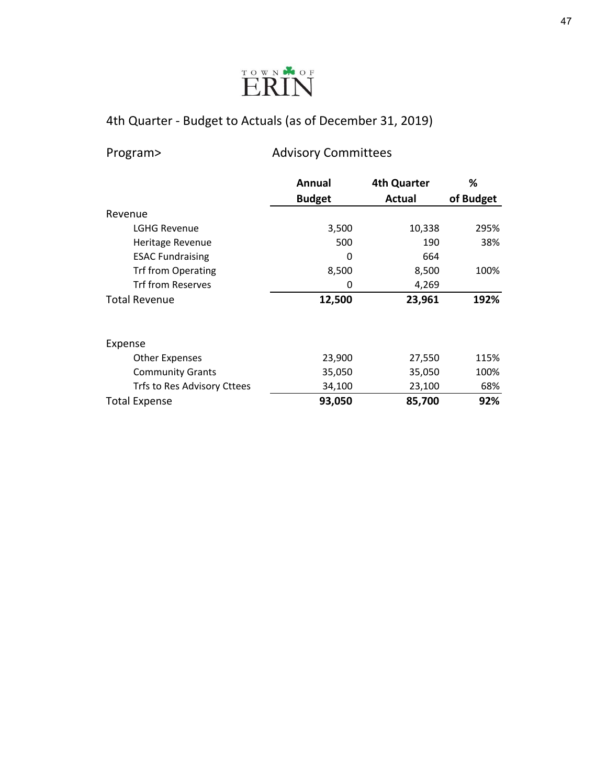

Program> Advisory Committees

|                             | Annual        | <b>4th Quarter</b> | ℅         |
|-----------------------------|---------------|--------------------|-----------|
|                             | <b>Budget</b> | Actual             | of Budget |
| Revenue                     |               |                    |           |
| <b>LGHG Revenue</b>         | 3,500         | 10,338             | 295%      |
| Heritage Revenue            | 500           | 190                | 38%       |
| <b>ESAC Fundraising</b>     | 0             | 664                |           |
| <b>Trf from Operating</b>   | 8,500         | 8,500              | 100%      |
| <b>Trf from Reserves</b>    | 0             | 4,269              |           |
| <b>Total Revenue</b>        | 12,500        | 23,961             | 192%      |
|                             |               |                    |           |
| Expense                     |               |                    |           |
| <b>Other Expenses</b>       | 23,900        | 27,550             | 115%      |
| <b>Community Grants</b>     | 35,050        | 35,050             | 100%      |
| Trfs to Res Advisory Cttees | 34,100        | 23,100             | 68%       |
| <b>Total Expense</b>        | 93,050        | 85,700             | 92%       |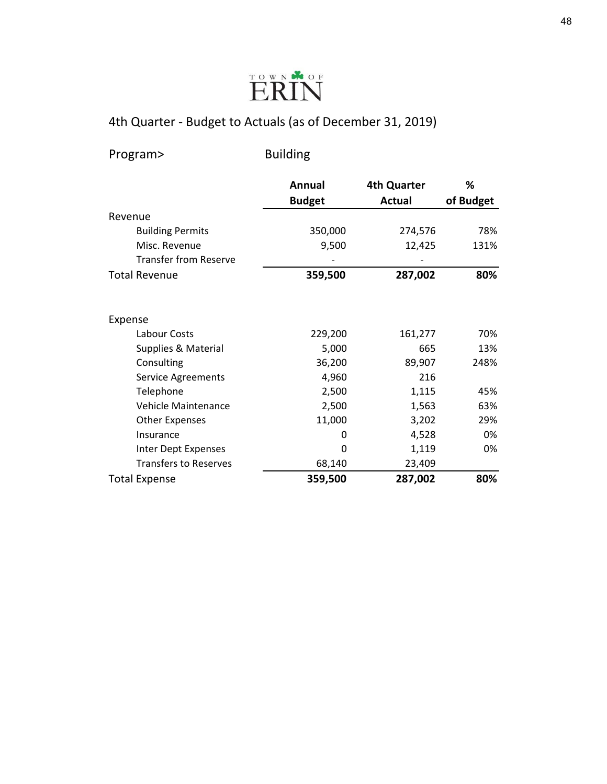

Program> Building

|                              | Annual        | 4th Quarter   | ℅         |
|------------------------------|---------------|---------------|-----------|
|                              | <b>Budget</b> | <b>Actual</b> | of Budget |
| Revenue                      |               |               |           |
| <b>Building Permits</b>      | 350,000       | 274,576       | 78%       |
| Misc. Revenue                | 9,500         | 12,425        | 131%      |
| <b>Transfer from Reserve</b> |               |               |           |
| <b>Total Revenue</b>         | 359,500       | 287,002       | 80%       |
| Expense                      |               |               |           |
| Labour Costs                 | 229,200       | 161,277       | 70%       |
| Supplies & Material          | 5,000         | 665           | 13%       |
| Consulting                   | 36,200        | 89,907        | 248%      |
| Service Agreements           | 4,960         | 216           |           |
| Telephone                    | 2,500         | 1,115         | 45%       |
| <b>Vehicle Maintenance</b>   | 2,500         | 1,563         | 63%       |
| <b>Other Expenses</b>        | 11,000        | 3,202         | 29%       |
| Insurance                    | 0             | 4,528         | 0%        |
| Inter Dept Expenses          | 0             | 1,119         | 0%        |
| <b>Transfers to Reserves</b> | 68,140        | 23,409        |           |
| <b>Total Expense</b>         | 359,500       | 287,002       | 80%       |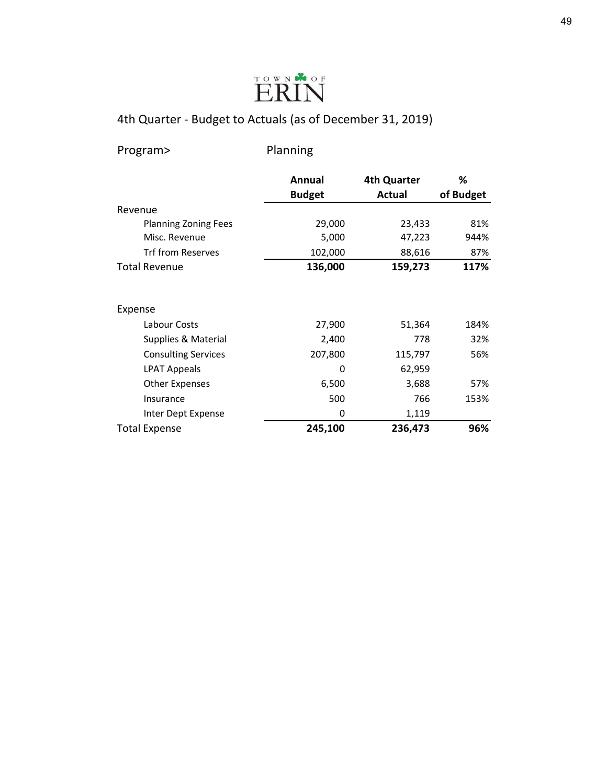

Program> Planning

|                             | Annual        | <b>4th Quarter</b> | %         |
|-----------------------------|---------------|--------------------|-----------|
|                             | <b>Budget</b> | Actual             | of Budget |
| Revenue                     |               |                    |           |
| <b>Planning Zoning Fees</b> | 29,000        | 23,433             | 81%       |
| Misc. Revenue               | 5,000         | 47,223             | 944%      |
| <b>Trf from Reserves</b>    | 102,000       | 88,616             | 87%       |
| <b>Total Revenue</b>        | 136,000       | 159,273            | 117%      |
| Expense                     |               |                    |           |
| Labour Costs                | 27,900        | 51,364             | 184%      |
| Supplies & Material         | 2,400         | 778                | 32%       |
| <b>Consulting Services</b>  | 207,800       | 115,797            | 56%       |
| LPAT Appeals                | 0             | 62,959             |           |
| Other Expenses              | 6,500         | 3,688              | 57%       |
| Insurance                   | 500           | 766                | 153%      |
| Inter Dept Expense          | 0             | 1,119              |           |
| <b>Total Expense</b>        | 245,100       | 236,473            | 96%       |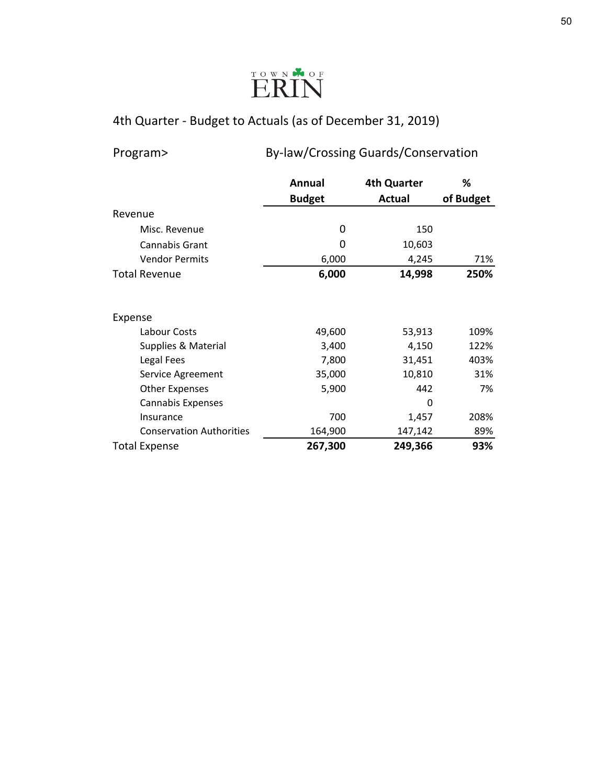

| Program> |  |
|----------|--|
|----------|--|

pram> By-law/Crossing Guards/Conservation

|                                 | <b>Annual</b> | <b>4th Quarter</b> | %         |
|---------------------------------|---------------|--------------------|-----------|
|                                 | <b>Budget</b> | <b>Actual</b>      | of Budget |
| Revenue                         |               |                    |           |
| Misc. Revenue                   | 0             | 150                |           |
| <b>Cannabis Grant</b>           | 0             | 10,603             |           |
| <b>Vendor Permits</b>           | 6,000         | 4,245              | 71%       |
| <b>Total Revenue</b>            | 6,000         | 14,998             | 250%      |
|                                 |               |                    |           |
| Expense                         |               |                    |           |
| Labour Costs                    | 49,600        | 53,913             | 109%      |
| Supplies & Material             | 3,400         | 4,150              | 122%      |
| Legal Fees                      | 7,800         | 31,451             | 403%      |
| Service Agreement               | 35,000        | 10,810             | 31%       |
| <b>Other Expenses</b>           | 5,900         | 442                | 7%        |
| <b>Cannabis Expenses</b>        |               | 0                  |           |
| Insurance                       | 700           | 1,457              | 208%      |
| <b>Conservation Authorities</b> | 164,900       | 147,142            | 89%       |
| <b>Total Expense</b>            | 267,300       | 249,366            | 93%       |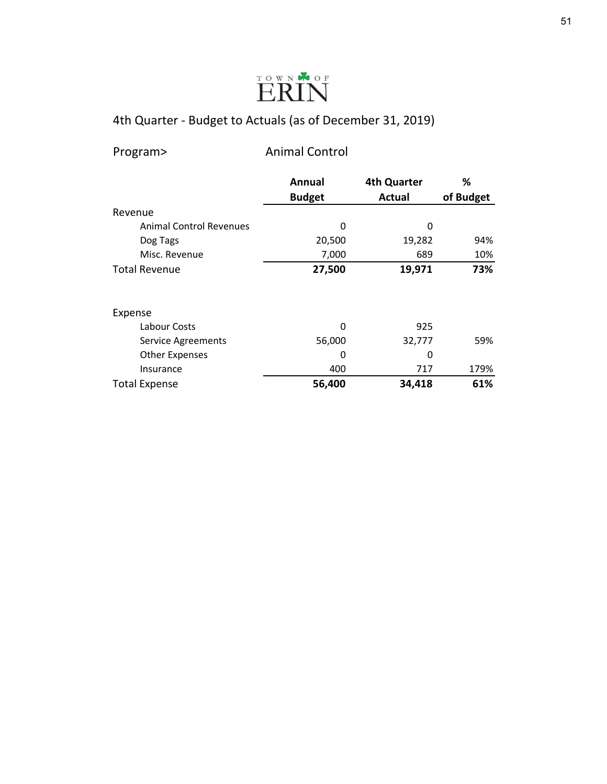

| Program> |  |
|----------|--|
|----------|--|

gram> Animal Control

|                                | <b>Annual</b> | <b>4th Quarter</b> | %         |
|--------------------------------|---------------|--------------------|-----------|
|                                | <b>Budget</b> | <b>Actual</b>      | of Budget |
| Revenue                        |               |                    |           |
| <b>Animal Control Revenues</b> | 0             | 0                  |           |
| Dog Tags                       | 20,500        | 19,282             | 94%       |
| Misc. Revenue                  | 7,000         | 689                | 10%       |
| <b>Total Revenue</b>           | 27,500        | 19,971             | 73%       |
| Expense                        |               |                    |           |
| Labour Costs                   | $\Omega$      | 925                |           |
| Service Agreements             | 56,000        | 32,777             | 59%       |
| <b>Other Expenses</b>          | 0             | 0                  |           |
| Insurance                      | 400           | 717                | 179%      |
| <b>Total Expense</b>           | 56,400        | 34,418             | 61%       |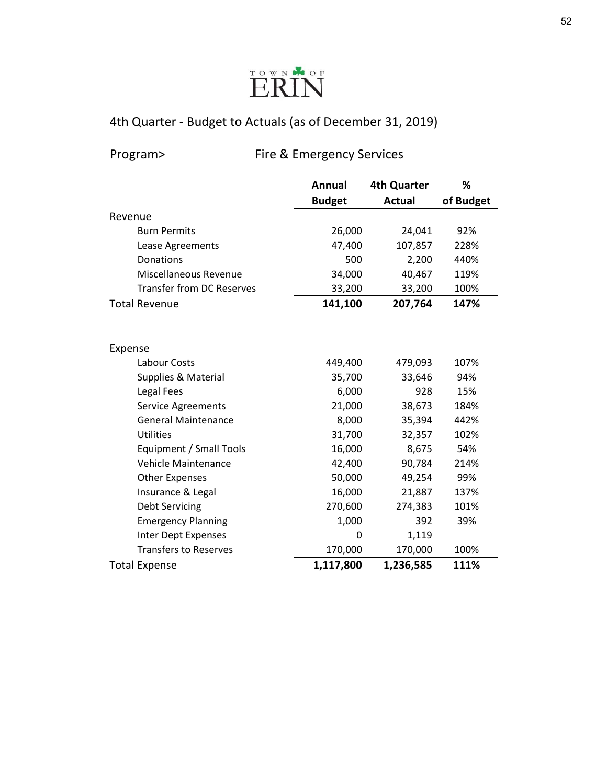

| Program> |  |  |  |
|----------|--|--|--|
|----------|--|--|--|

pgram> Fire & Emergency Services

|                                  | Annual        | <b>4th Quarter</b> | %         |
|----------------------------------|---------------|--------------------|-----------|
|                                  | <b>Budget</b> | <b>Actual</b>      | of Budget |
| Revenue                          |               |                    |           |
| <b>Burn Permits</b>              | 26,000        | 24,041             | 92%       |
| Lease Agreements                 | 47,400        | 107,857            | 228%      |
| Donations                        | 500           | 2,200              | 440%      |
| Miscellaneous Revenue            | 34,000        | 40,467             | 119%      |
| <b>Transfer from DC Reserves</b> | 33,200        | 33,200             | 100%      |
| <b>Total Revenue</b>             | 141,100       | 207,764            | 147%      |
|                                  |               |                    |           |
|                                  |               |                    |           |
| Expense                          |               |                    |           |
| Labour Costs                     | 449,400       | 479,093            | 107%      |
| Supplies & Material              | 35,700        | 33,646             | 94%       |
| Legal Fees                       | 6,000         | 928                | 15%       |
| <b>Service Agreements</b>        | 21,000        | 38,673             | 184%      |
| <b>General Maintenance</b>       | 8,000         | 35,394             | 442%      |
| <b>Utilities</b>                 | 31,700        | 32,357             | 102%      |
| Equipment / Small Tools          | 16,000        | 8,675              | 54%       |
| Vehicle Maintenance              | 42,400        | 90,784             | 214%      |
| <b>Other Expenses</b>            | 50,000        | 49,254             | 99%       |
| Insurance & Legal                | 16,000        | 21,887             | 137%      |
| Debt Servicing                   | 270,600       | 274,383            | 101%      |
| <b>Emergency Planning</b>        | 1,000         | 392                | 39%       |
| <b>Inter Dept Expenses</b>       | 0             | 1,119              |           |
| <b>Transfers to Reserves</b>     | 170,000       | 170,000            | 100%      |
| <b>Total Expense</b>             | 1,117,800     | 1,236,585          | 111%      |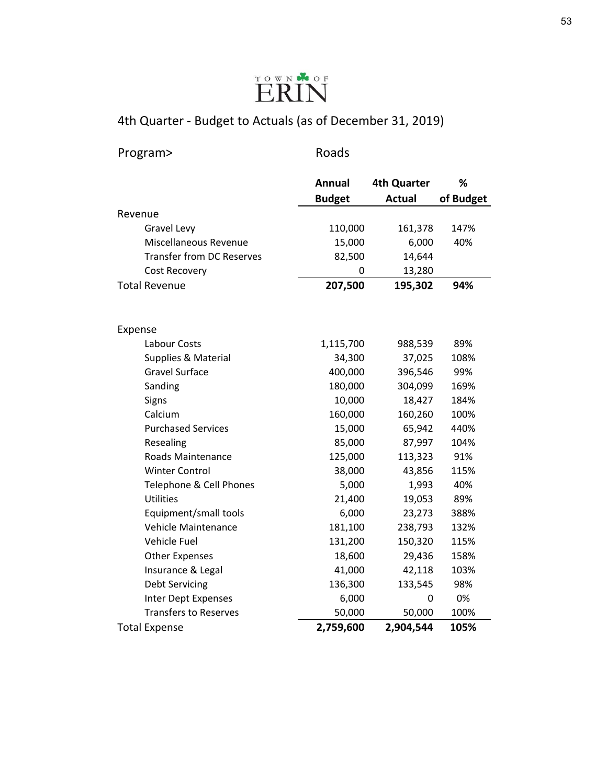# **ERIN**

| Program> | Roads |
|----------|-------|
|----------|-------|

|                                  | Annual        | <b>4th Quarter</b> | %         |
|----------------------------------|---------------|--------------------|-----------|
|                                  | <b>Budget</b> | <b>Actual</b>      | of Budget |
| Revenue                          |               |                    |           |
| Gravel Levy                      | 110,000       | 161,378            | 147%      |
| Miscellaneous Revenue            | 15,000        | 6,000              | 40%       |
| <b>Transfer from DC Reserves</b> | 82,500        | 14,644             |           |
| Cost Recovery                    | 0             | 13,280             |           |
| <b>Total Revenue</b>             | 207,500       | 195,302            | 94%       |
|                                  |               |                    |           |
| Expense                          |               |                    |           |
| Labour Costs                     | 1,115,700     | 988,539            | 89%       |
| Supplies & Material              | 34,300        | 37,025             | 108%      |
| <b>Gravel Surface</b>            | 400,000       | 396,546            | 99%       |
| Sanding                          | 180,000       | 304,099            | 169%      |
| <b>Signs</b>                     | 10,000        | 18,427             | 184%      |
| Calcium                          | 160,000       | 160,260            | 100%      |
| <b>Purchased Services</b>        | 15,000        | 65,942             | 440%      |
| Resealing                        | 85,000        | 87,997             | 104%      |
| <b>Roads Maintenance</b>         | 125,000       | 113,323            | 91%       |
| <b>Winter Control</b>            | 38,000        | 43,856             | 115%      |
| Telephone & Cell Phones          | 5,000         | 1,993              | 40%       |
| <b>Utilities</b>                 | 21,400        | 19,053             | 89%       |
| Equipment/small tools            | 6,000         | 23,273             | 388%      |
| <b>Vehicle Maintenance</b>       | 181,100       | 238,793            | 132%      |
| Vehicle Fuel                     | 131,200       | 150,320            | 115%      |
| <b>Other Expenses</b>            | 18,600        | 29,436             | 158%      |
| Insurance & Legal                | 41,000        | 42,118             | 103%      |
| <b>Debt Servicing</b>            | 136,300       | 133,545            | 98%       |
| Inter Dept Expenses              | 6,000         | 0                  | 0%        |
| <b>Transfers to Reserves</b>     | 50,000        | 50,000             | 100%      |
| <b>Total Expense</b>             | 2,759,600     | 2,904,544          | 105%      |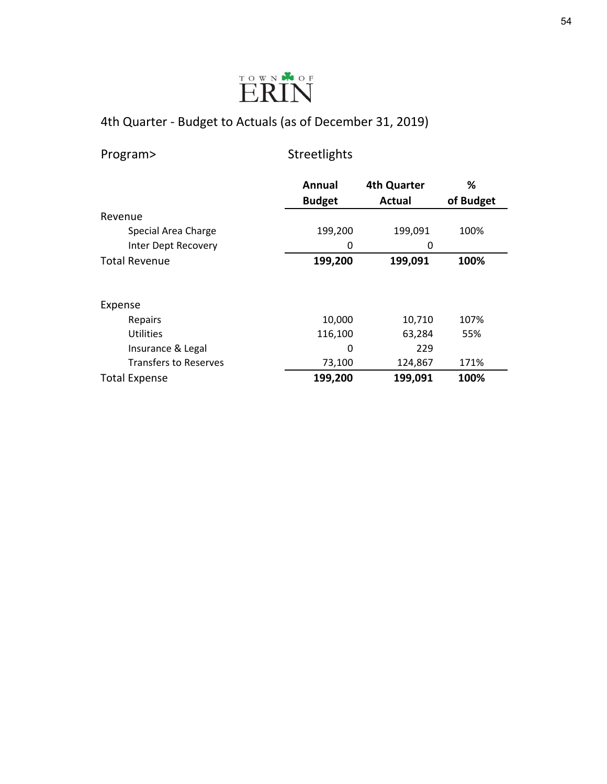

| Program>                     | Streetlights  |                    |           |
|------------------------------|---------------|--------------------|-----------|
|                              | Annual        | <b>4th Quarter</b> | ℅         |
|                              | <b>Budget</b> | Actual             | of Budget |
| Revenue                      |               |                    |           |
| Special Area Charge          | 199,200       | 199,091            | 100%      |
| Inter Dept Recovery          | 0             | 0                  |           |
| <b>Total Revenue</b>         | 199,200       | 199,091            | 100%      |
| Expense                      |               |                    |           |
| Repairs                      | 10,000        | 10,710             | 107%      |
| Utilities                    | 116,100       | 63,284             | 55%       |
| Insurance & Legal            | 0             | 229                |           |
| <b>Transfers to Reserves</b> | 73,100        | 124,867            | 171%      |
| <b>Total Expense</b>         | 199,200       | 199,091            | 100%      |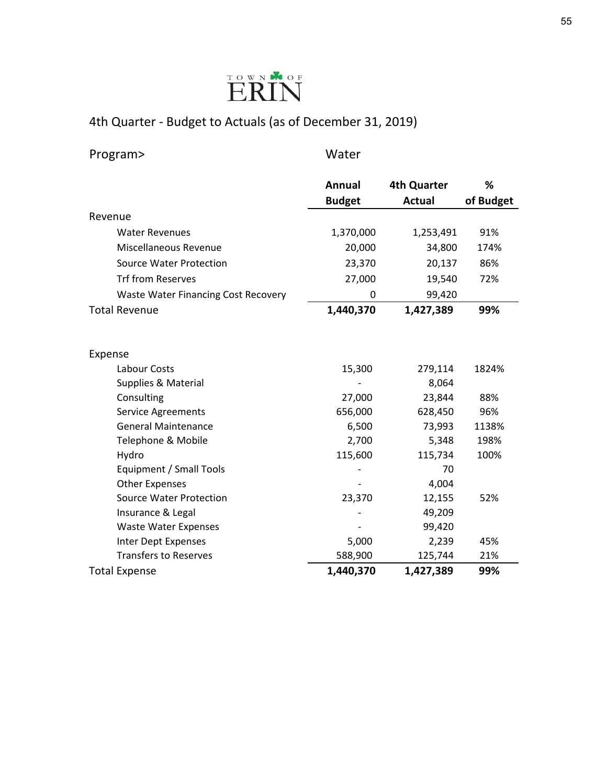

| Program>                                   | Water                          |                                     |                |
|--------------------------------------------|--------------------------------|-------------------------------------|----------------|
|                                            | <b>Annual</b><br><b>Budget</b> | <b>4th Quarter</b><br><b>Actual</b> | %<br>of Budget |
| Revenue                                    |                                |                                     |                |
| <b>Water Revenues</b>                      | 1,370,000                      | 1,253,491                           | 91%            |
| <b>Miscellaneous Revenue</b>               | 20,000                         | 34,800                              | 174%           |
| <b>Source Water Protection</b>             | 23,370                         | 20,137                              | 86%            |
| <b>Trf from Reserves</b>                   | 27,000                         | 19,540                              | 72%            |
|                                            |                                |                                     |                |
| <b>Waste Water Financing Cost Recovery</b> | 0                              | 99,420                              |                |
| <b>Total Revenue</b>                       | 1,440,370                      | 1,427,389                           | 99%            |
|                                            |                                |                                     |                |
| Expense                                    |                                |                                     |                |
| Labour Costs                               | 15,300                         | 279,114                             | 1824%          |
| <b>Supplies &amp; Material</b>             |                                | 8,064                               |                |
| Consulting                                 | 27,000                         | 23,844                              | 88%            |
| <b>Service Agreements</b>                  | 656,000                        | 628,450                             | 96%            |
| <b>General Maintenance</b>                 | 6,500                          | 73,993                              | 1138%          |
| Telephone & Mobile                         | 2,700                          | 5,348                               | 198%           |
| Hydro                                      | 115,600                        | 115,734                             | 100%           |
| Equipment / Small Tools                    |                                | 70                                  |                |
| <b>Other Expenses</b>                      |                                | 4,004                               |                |
| <b>Source Water Protection</b>             | 23,370                         | 12,155                              | 52%            |
| Insurance & Legal                          |                                | 49,209                              |                |
| <b>Waste Water Expenses</b>                |                                | 99,420                              |                |
| Inter Dept Expenses                        | 5,000                          | 2,239                               | 45%            |
| <b>Transfers to Reserves</b>               | 588,900                        | 125,744                             | 21%            |
| <b>Total Expense</b>                       | 1,440,370                      | 1,427,389                           | 99%            |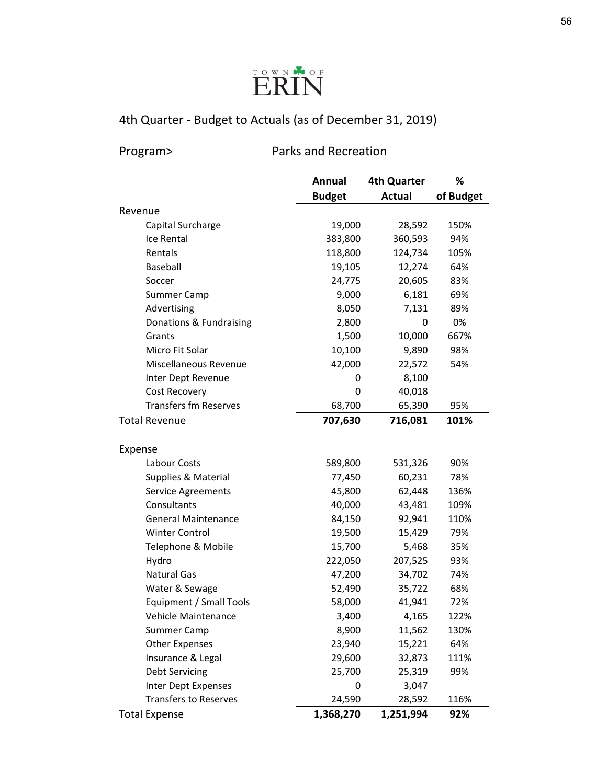

Program> Parks and Recreation

|                              | Annual        | <b>4th Quarter</b> | %         |
|------------------------------|---------------|--------------------|-----------|
|                              | <b>Budget</b> | <b>Actual</b>      | of Budget |
| Revenue                      |               |                    |           |
| Capital Surcharge            | 19,000        | 28,592             | 150%      |
| Ice Rental                   | 383,800       | 360,593            | 94%       |
| Rentals                      | 118,800       | 124,734            | 105%      |
| <b>Baseball</b>              | 19,105        | 12,274             | 64%       |
| Soccer                       | 24,775        | 20,605             | 83%       |
| <b>Summer Camp</b>           | 9,000         | 6,181              | 69%       |
| Advertising                  | 8,050         | 7,131              | 89%       |
| Donations & Fundraising      | 2,800         | 0                  | 0%        |
| Grants                       | 1,500         | 10,000             | 667%      |
| Micro Fit Solar              | 10,100        | 9,890              | 98%       |
| Miscellaneous Revenue        | 42,000        | 22,572             | 54%       |
| Inter Dept Revenue           | 0             | 8,100              |           |
| Cost Recovery                | 0             | 40,018             |           |
| <b>Transfers fm Reserves</b> | 68,700        | 65,390             | 95%       |
| <b>Total Revenue</b>         | 707,630       | 716,081            | 101%      |
|                              |               |                    |           |
| Expense                      |               |                    |           |
| Labour Costs                 | 589,800       | 531,326            | 90%       |
| Supplies & Material          | 77,450        | 60,231             | 78%       |
| <b>Service Agreements</b>    | 45,800        | 62,448             | 136%      |
| Consultants                  | 40,000        | 43,481             | 109%      |
| <b>General Maintenance</b>   | 84,150        | 92,941             | 110%      |
| <b>Winter Control</b>        | 19,500        | 15,429             | 79%       |
| Telephone & Mobile           | 15,700        | 5,468              | 35%       |
| Hydro                        | 222,050       | 207,525            | 93%       |
| <b>Natural Gas</b>           | 47,200        | 34,702             | 74%       |
| Water & Sewage               | 52,490        | 35,722             | 68%       |
| Equipment / Small Tools      | 58,000        | 41,941             | 72%       |
| Vehicle Maintenance          | 3,400         | 4,165              | 122%      |
| Summer Camp                  | 8,900         | 11,562             | 130%      |
| <b>Other Expenses</b>        | 23,940        | 15,221             | 64%       |
| Insurance & Legal            | 29,600        | 32,873             | 111%      |
| Debt Servicing               | 25,700        | 25,319             | 99%       |
| Inter Dept Expenses          | 0             | 3,047              |           |
| <b>Transfers to Reserves</b> | 24,590        | 28,592             | 116%      |
| <b>Total Expense</b>         | 1,368,270     | 1,251,994          | 92%       |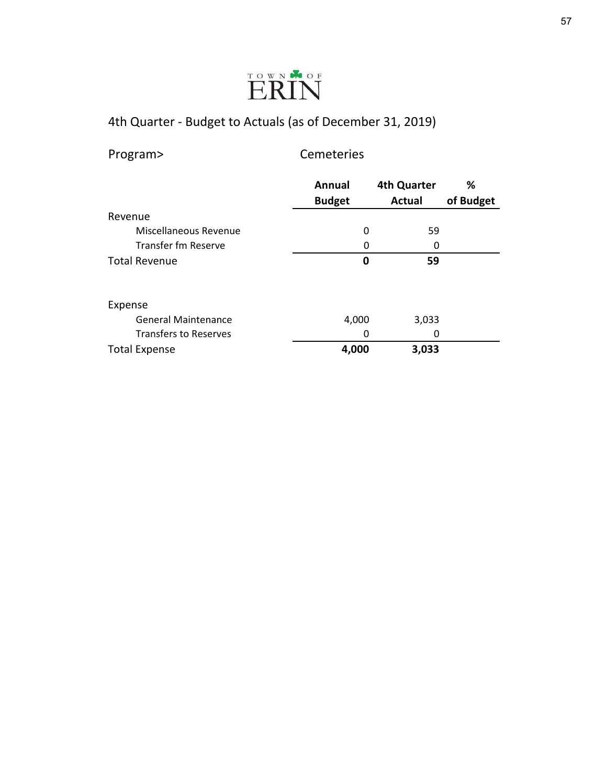

| Program>                     | Cemeteries              |                              |                |  |  |  |  |
|------------------------------|-------------------------|------------------------------|----------------|--|--|--|--|
|                              | Annual<br><b>Budget</b> | <b>4th Quarter</b><br>Actual | ℅<br>of Budget |  |  |  |  |
| Revenue                      |                         |                              |                |  |  |  |  |
| Miscellaneous Revenue        | 0                       | 59                           |                |  |  |  |  |
| Transfer fm Reserve          | 0                       | 0                            |                |  |  |  |  |
| <b>Total Revenue</b>         | 0                       | 59                           |                |  |  |  |  |
| Expense                      |                         |                              |                |  |  |  |  |
| <b>General Maintenance</b>   | 4,000                   | 3,033                        |                |  |  |  |  |
| <b>Transfers to Reserves</b> | 0                       | 0                            |                |  |  |  |  |
| <b>Total Expense</b>         | 4,000                   | 3,033                        |                |  |  |  |  |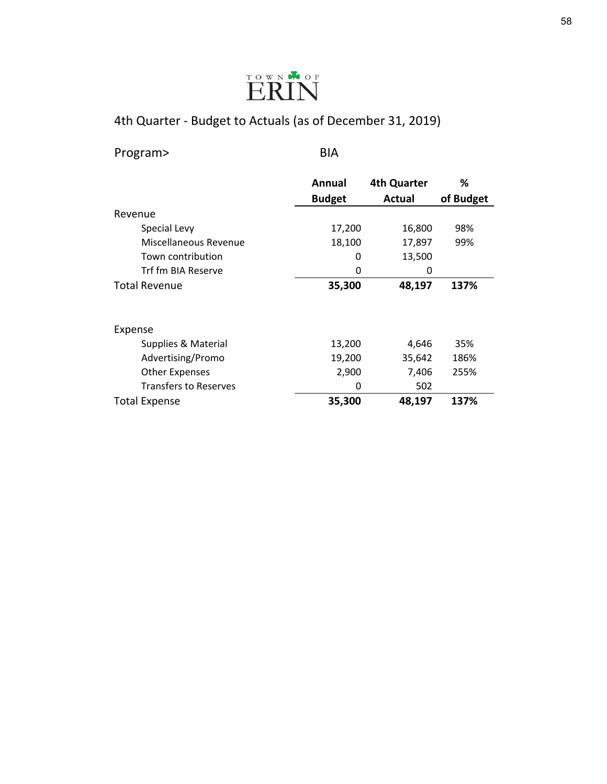

Program> BIA

|                              | Annual        | <b>4th Quarter</b> | %         |
|------------------------------|---------------|--------------------|-----------|
|                              | <b>Budget</b> | <b>Actual</b>      | of Budget |
| Revenue                      |               |                    |           |
| Special Levy                 | 17,200        | 16,800             | 98%       |
| Miscellaneous Revenue        | 18,100        | 17,897             | 99%       |
| Town contribution            | 0             | 13,500             |           |
| Trf fm BIA Reserve           | 0             | 0                  |           |
| <b>Total Revenue</b>         | 35,300        | 48,197             | 137%      |
|                              |               |                    |           |
| Expense                      |               |                    |           |
| Supplies & Material          | 13,200        | 4,646              | 35%       |
| Advertising/Promo            | 19,200        | 35,642             | 186%      |
| <b>Other Expenses</b>        | 2,900         | 7,406              | 255%      |
| <b>Transfers to Reserves</b> | 0             | 502                |           |
| <b>Total Expense</b>         | 35,300        | 48,197             | 137%      |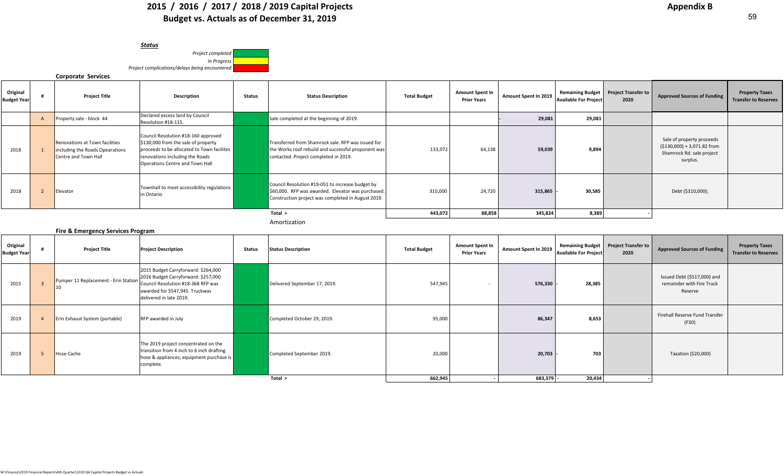# **2015 / 2016 / 2017 / 2018 / 2019 Capital Projects Budget vs. Actuals as of December 31, 2019**



**Corporate Services**

| Original<br><b>Budget Year</b> |           | <b>Project Title</b>                                                                      | <b>Description</b>                                                                                                                                                                             | <b>Status</b> | <b>Status Description</b>                                                                                                                                    | <b>Total Budget</b> | <b>Amount Spent In</b><br><b>Prior Years</b> | Amount Spent In 2019 | <b>Available For Project</b> | Remaining Budget   Project Transfer to<br>2020 | Approved Sources of Funding                                                                         | <b>Property Taxes</b><br><b>Transfer to Reserves</b> |
|--------------------------------|-----------|-------------------------------------------------------------------------------------------|------------------------------------------------------------------------------------------------------------------------------------------------------------------------------------------------|---------------|--------------------------------------------------------------------------------------------------------------------------------------------------------------|---------------------|----------------------------------------------|----------------------|------------------------------|------------------------------------------------|-----------------------------------------------------------------------------------------------------|------------------------------------------------------|
|                                |           | Property sale - block 44                                                                  | Declared excess land by Council<br>Resolution #18-115.                                                                                                                                         |               | Sale completed at the beginning of 2019.                                                                                                                     |                     |                                              | 29,081               | 29,081                       |                                                |                                                                                                     |                                                      |
| 2018                           |           | Renovations at Town facilities<br>including the Roads Opearations<br>Centre and Town Hall | Council Resolution #18-160 approved<br>\$130,000 from the sale of property<br>proceeds to be allocated to Town facilites<br>renovations including the Roads<br>Operations Centre and Town Hall |               | Transferred from Shamrock sale. RFP was issued for<br>the Works roof rebuild and successful proponent was<br>contacted. Project completed in 2019.           | 133,072             | 64,138                                       | 59,039               | 9,894                        |                                                | Sale of property proceeds<br>$( $130,000) + 3,071.82$ from<br>Shamrock Rd. sale project<br>surplus. |                                                      |
| 2018                           |           | Elevator                                                                                  | Townhall to meet accessibility regulations<br>in Ontario                                                                                                                                       |               | Council Resolution #19-051 to increase budget by<br>\$60,000. RFP was awarded. Elevator was purchased.<br>Construction project was completed in August 2019. | 310,000             | 24,720                                       | 315,865              | 30,585                       |                                                | Debt (\$310,000);                                                                                   |                                                      |
|                                | Total $>$ |                                                                                           |                                                                                                                                                                                                |               | 443,072                                                                                                                                                      | 88,858              | 345,824                                      | 8,389                |                              |                                                |                                                                                                     |                                                      |

Amortization

#### **Fire & Emergency Services Program**

| Original<br><b>Budget Year</b> |  | <b>Project Title</b>                              | <b>Project Description</b>                                                                                                                                                     | <b>Status</b> | <b>Status Description</b>     | <b>Total Budget</b> | <b>Amount Spent In</b><br><b>Prior Years</b> | Amount Spent In 2019 | Remaining Budget   Project Transfer to<br><b>Available For Project</b> | 2020 | <b>Approved Sources of Funding</b>                                  | <b>Property Taxes</b><br><b>Transfer to Reserves</b> |
|--------------------------------|--|---------------------------------------------------|--------------------------------------------------------------------------------------------------------------------------------------------------------------------------------|---------------|-------------------------------|---------------------|----------------------------------------------|----------------------|------------------------------------------------------------------------|------|---------------------------------------------------------------------|------------------------------------------------------|
| 2015                           |  | Pumper 11 Replacement - Erin Station<br><b>10</b> | 2015 Budget Carryforward: \$264,000<br>2016 Budget Carryforward: \$257,000<br>Council Resolution #18-368 RFP was<br>awarded for \$547,945. Truckwas<br>delivered in late 2019. |               | Delivered September 17, 2019. | 547,945             |                                              | 576,330              | 28,385                                                                 |      | Issued Debt (\$517,000) and<br>remainder with Fire Truck<br>Reserve |                                                      |
| 2019                           |  | Erin Exhaust System (portable)                    | RFP awarded in July                                                                                                                                                            |               | Completed October 29, 2019.   | 95,000              |                                              | 86,347               | 8,653                                                                  |      | Firehall Reserve Fund Transfer<br>(F30)                             |                                                      |
| 2019                           |  | Hose Cache                                        | The 2019 project concentrated on the<br>transition from 4 inch to 6 inch drafting<br>hose & appliances; equipment purchase is<br>complete.                                     |               | Completed September 2019.     | 20,000              |                                              | 20,703               | 703                                                                    |      | Taxation (\$20,000)                                                 |                                                      |
| Total >                        |  |                                                   |                                                                                                                                                                                |               |                               | 662,945             |                                              | 683,379              | 20,434                                                                 |      |                                                                     |                                                      |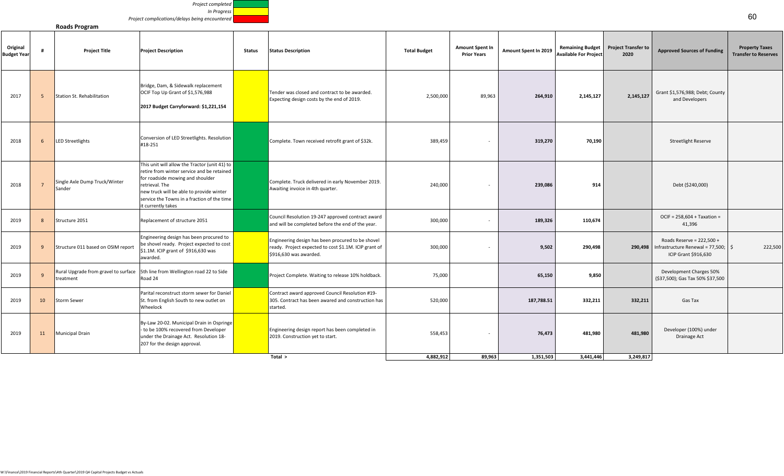| Project completed                              |  |
|------------------------------------------------|--|
| In Progress                                    |  |
| Project complications/delays being encountered |  |

| Original<br><b>Budget Year</b> |                | <b>Project Title</b>                              | <b>Project Description</b>                                                                                                                                                                                                                                         | <b>Status</b> | <b>Status Description</b>                                                                                                            | <b>Total Budget</b> | <b>Amount Spent In</b><br><b>Prior Years</b> | Amount Spent In 2019 | <b>Remaining Budget</b><br>Available For Project | <b>Project Transfer to</b><br>2020 | <b>Approved Sources of Funding</b>                                                                            | <b>Property Taxes</b><br><b>Transfer to Reserves</b> |
|--------------------------------|----------------|---------------------------------------------------|--------------------------------------------------------------------------------------------------------------------------------------------------------------------------------------------------------------------------------------------------------------------|---------------|--------------------------------------------------------------------------------------------------------------------------------------|---------------------|----------------------------------------------|----------------------|--------------------------------------------------|------------------------------------|---------------------------------------------------------------------------------------------------------------|------------------------------------------------------|
| 2017                           | -5             | Station St. Rehabilitation                        | Bridge, Dam, & Sidewalk replacement<br>OCIF Top Up Grant of \$1,576,988<br>2017 Budget Carryforward: \$1,221,154                                                                                                                                                   |               | Tender was closed and contract to be awarded.<br>Expecting design costs by the end of 2019.                                          | 2,500,000           | 89,963                                       | 264,910              | 2,145,127                                        | 2,145,127                          | Grant \$1,576,988; Debt; County<br>and Developers                                                             |                                                      |
| 2018                           | 6              | <b>LED Streetlights</b>                           | Conversion of LED Streetlights. Resolution<br>#18-251                                                                                                                                                                                                              |               | Complete. Town received retrofit grant of \$32k.                                                                                     | 389,459             | $\sim$                                       | 319,270              | 70,190                                           |                                    | <b>Streetlight Reserve</b>                                                                                    |                                                      |
| 2018                           | $\overline{7}$ | Single Axle Dump Truck/Winter<br>Sander           | This unit will allow the Tractor (unit 41) to<br>retire from winter service and be retained<br>for roadside mowing and shoulder<br>retrieval. The<br>new truck will be able to provide winter<br>service the Towns in a fraction of the time<br>it currently takes |               | Complete. Truck delivered in early November 2019.<br>Awaiting invoice in 4th quarter.                                                | 240,000             |                                              | 239,086              | 914                                              |                                    | Debt (\$240,000)                                                                                              |                                                      |
| 2019                           | -8             | Structure 2051                                    | Replacement of structure 2051                                                                                                                                                                                                                                      |               | Council Resolution 19-247 approved contract award<br>and will be completed before the end of the year.                               | 300,000             | $\sim$                                       | 189,326              | 110,674                                          |                                    | OCIF = 258,604 + Taxation =<br>41,396                                                                         |                                                      |
| 2019                           | -9             | Structure 011 based on OSIM report                | Engineering design has been procured to<br>be shovel ready. Project expected to cost<br>\$1.1M. ICIP grant of \$916,630 was<br>awarded.                                                                                                                            |               | Engineering design has been procured to be shovel<br>ready. Project expected to cost \$1.1M. ICIP grant of<br>\$916,630 was awarded. | 300,000             |                                              | 9,502                | 290,498                                          |                                    | Roads Reserve = 222,500 +<br>290,498   Infrastructure Renewal = 77,500; $\frac{1}{2}$<br>ICIP Grant \$916,630 | 222,500                                              |
| 2019                           | $\alpha$       | Rural Upgrade from gravel to surface<br>treatment | 5th line from Wellington road 22 to Side<br>Road 24                                                                                                                                                                                                                |               | Project Complete. Waiting to release 10% holdback.                                                                                   | 75,000              |                                              | 65,150               | 9,850                                            |                                    | Development Charges 50%<br>(\$37,500); Gas Tax 50% \$37,500                                                   |                                                      |
| 2019                           | 10             | <b>Storm Sewer</b>                                | Parital reconstruct storm sewer for Daniel<br>St. from English South to new outlet on<br>Wheelock                                                                                                                                                                  |               | Contract award approved Council Resolution #19-<br>305. Contract has been awared and construction has<br>started.                    | 520,000             |                                              | 187,788.51           | 332,211                                          | 332,211                            | Gas Tax                                                                                                       |                                                      |
| 2019                           | 11             | Municipal Drain                                   | By-Law 20-02. Municipal Drain in Ospringe<br>- to be 100% recovered from Developer<br>under the Drainage Act. Resolution 18-<br>207 for the design approval.                                                                                                       |               | Engineering design report has been completed in<br>2019. Construction yet to start.                                                  | 558,453             |                                              | 76,473               | 481,980                                          | 481,980                            | Developer (100%) under<br>Drainage Act                                                                        |                                                      |
|                                | Total $>$      |                                                   |                                                                                                                                                                                                                                                                    |               | 4.882.912                                                                                                                            | 89,963              | 1,351,503                                    | 3,441,446            | 3,249,817                                        |                                    |                                                                                                               |                                                      |

**Roads Program**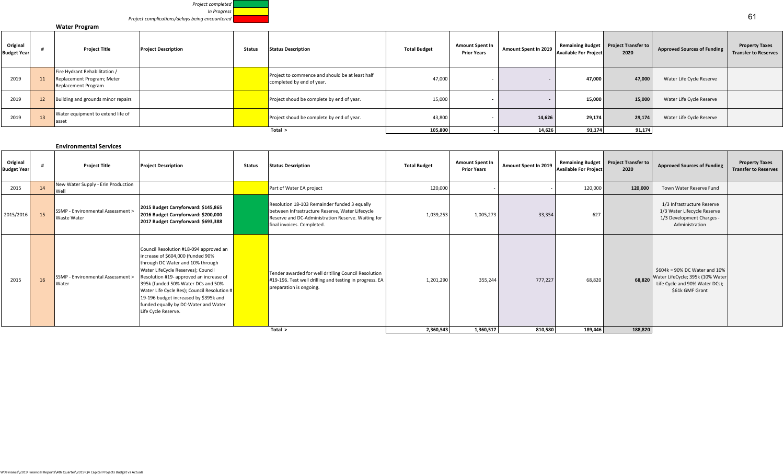

#### **Water Program**

| Original<br><b>Budget Year</b> |         | <b>Project Title</b>                                                                      | <b>Project Description</b> | <b>Status</b> | <b>Status Description</b>                                                    | <b>Total Budget</b> | <b>Amount Spent In</b><br><b>Prior Years</b> | Amount Spent In 2019 | Remaining Budget   Project Transfer to<br><b>Available For Project</b> | 2020   | <b>Approved Sources of Funding</b> | <b>Property Taxes</b><br><b>Transfer to Reserves</b> |
|--------------------------------|---------|-------------------------------------------------------------------------------------------|----------------------------|---------------|------------------------------------------------------------------------------|---------------------|----------------------------------------------|----------------------|------------------------------------------------------------------------|--------|------------------------------------|------------------------------------------------------|
| 2019                           |         | Fire Hydrant Rehabilitation /<br>Replacement Program; Meter<br><b>Replacement Program</b> |                            |               | Project to commence and should be at least half<br>completed by end of year. | 47,000              |                                              |                      | 47,000                                                                 | 47,000 | Water Life Cycle Reserve           |                                                      |
| 2019                           | 12      | Building and grounds minor repairs                                                        |                            |               | Project shoud be complete by end of year.                                    | 15,000              |                                              |                      | 15,000                                                                 | 15,000 | Water Life Cycle Reserve           |                                                      |
| 2019                           | 13      | Water equipment to extend life of<br>asset                                                |                            |               | Project shoud be complete by end of year.                                    | 43,800              |                                              | 14,626               | 29,174                                                                 | 29,174 | Water Life Cycle Reserve           |                                                      |
|                                | Total > |                                                                                           |                            |               | 105,800                                                                      |                     | 14,626                                       | 91,174               | 91,174                                                                 |        |                                    |                                                      |

#### **Environmental Services Original**  Original # Project Transfer to Project Transfer to Project Transfer to Amount Spent In Amount Spent In Amount Spent In Amount Spent In Amount Spent In Amount Spent In 2019 Remaining Budget Project Project Approved Sources 2015 **14** New Water Supply - Erin Production - Part of Water EA project (Part of Mater EA project and the control of the control of the control of the control of the control of the control of the control of the control of the control of the control of the control of 2015/2016 15 SSMP - Environmental Assessment > Waste Water onmental Assessment > 2015 Budget Carryforward: \$145,865 Resolution 18-103 Remainder funded 3 equally<br>
1/3 Infrastructure Reserve between Infrastructure Reserve, Water Lifecycle<br>
2017 Budget Carryforward: \$693,388 Reserve 2015 **16** SSMP - Environmental Assessment > Water Council Resolution #18‐094 approved an increase of \$604,000 (funded 90% through DC Water and 10% through Water LifeCycle Reserves); Council Resolution #19‐ approved an increase of 395k (funded 50% Water DCs and 50% Water Life Cycle Res); Council Resolution # 19‐196 budget increased by \$395k and funded equally by DC‐Water and Water Life Cycle Reserve. Tender awarded for well dritlling Council Resolution #19-196. Test well drilling and testing in progress. EA preparation is ongoing. 1,201,290 355,244 777,227 68,820  **68,820**  \$604k = 90% DC Water and 10% Water LifeCycle; 395k (10% Water Life Cycle and 90% Water DCs); \$61k GMF Grant Total > 2,360,543 | 1,360,517 | 810,580 | 189,446 | 188,820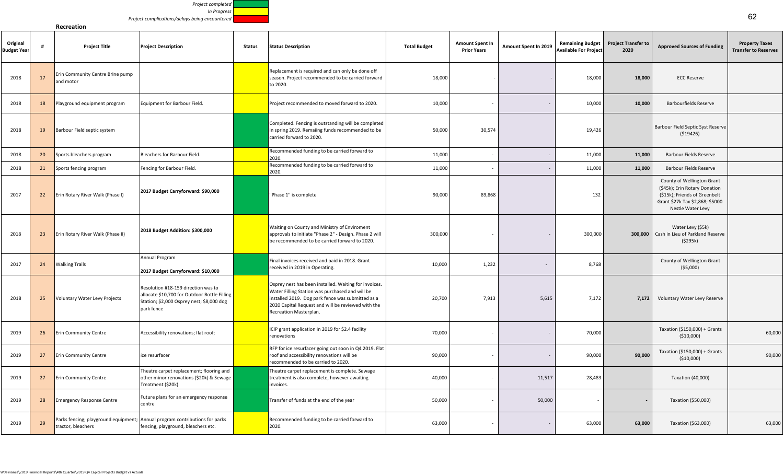| Project completed                              |  |
|------------------------------------------------|--|
| In Progress                                    |  |
| Project complications/delays being encountered |  |

| Original<br>Budget Year | #  | <b>Project Title</b>                          | <b>Project Description</b>                                                                                                                     | Status | <b>Status Description</b>                                                                                                                                                                                                                     | <b>Total Budget</b> | <b>Amount Spent In</b><br><b>Prior Years</b> | Amount Spent In 2019 | <b>Remaining Budget</b><br><b>Available For Project</b> | <b>Project Transfer to</b><br>2020 | <b>Approved Sources of Funding</b>                                                                                                                   | <b>Property Taxes</b><br><b>Transfer to Reserves</b> |
|-------------------------|----|-----------------------------------------------|------------------------------------------------------------------------------------------------------------------------------------------------|--------|-----------------------------------------------------------------------------------------------------------------------------------------------------------------------------------------------------------------------------------------------|---------------------|----------------------------------------------|----------------------|---------------------------------------------------------|------------------------------------|------------------------------------------------------------------------------------------------------------------------------------------------------|------------------------------------------------------|
| 2018                    | 17 | Erin Community Centre Brine pump<br>and motor |                                                                                                                                                |        | Replacement is required and can only be done off<br>season. Project recommended to be carried forward<br>to 2020.                                                                                                                             | 18,000              |                                              |                      | 18,000                                                  | 18,000                             | <b>ECC Reserve</b>                                                                                                                                   |                                                      |
| 2018                    | 18 | Playground equipment program                  | Equipment for Barbour Field.                                                                                                                   |        | Project recommended to moved forward to 2020.                                                                                                                                                                                                 | 10,000              |                                              |                      | 10,000                                                  | 10,000                             | <b>Barbourfields Reserve</b>                                                                                                                         |                                                      |
| 2018                    | 19 | Barbour Field septic system                   |                                                                                                                                                |        | Completed. Fencing is outstanding will be completed<br>in spring 2019. Remaiing funds recommended to be<br>carried forward to 2020.                                                                                                           | 50,000              | 30,574                                       |                      | 19,426                                                  |                                    | Barbour Field Septic Syst Reserve<br>( \$19426)                                                                                                      |                                                      |
| 2018                    | 20 | Sports bleachers program                      | Bleachers for Barbour Field.                                                                                                                   |        | Recommended funding to be carried forward to<br>2020.                                                                                                                                                                                         | 11,000              |                                              |                      | 11,000                                                  | 11,000                             | <b>Barbour Fields Reserve</b>                                                                                                                        |                                                      |
| 2018                    | 21 | Sports fencing program                        | Fencing for Barbour Field.                                                                                                                     |        | Recommended funding to be carried forward to<br>2020.                                                                                                                                                                                         | 11,000              |                                              |                      | 11,000                                                  | 11,000                             | <b>Barbour Fields Reserve</b>                                                                                                                        |                                                      |
| 2017                    | 22 | Erin Rotary River Walk (Phase I)              | 2017 Budget Carryforward: \$90,000                                                                                                             |        | "Phase 1" is complete                                                                                                                                                                                                                         | 90,000              | 89,868                                       |                      | 132                                                     |                                    | County of Wellington Grant<br>(\$45k); Erin Rotary Donation<br>(\$15k); Friends of Greenbelt<br>Grant \$27k Tax \$2,868; \$5000<br>Nestle Water Levy |                                                      |
| 2018                    | 23 | Erin Rotary River Walk (Phase II)             | 2018 Budget Addition: \$300,000                                                                                                                |        | Waiting on County and Ministry of Enviroment<br>approvals to initiate "Phase 2" - Design. Phase 2 will<br>be recommended to be carried forward to 2020.                                                                                       | 300,000             |                                              |                      | 300,000                                                 | 300,000                            | Water Levy (\$5k)<br>Cash in Lieu of Parkland Reserve<br>(5295k)                                                                                     |                                                      |
| 2017                    | 24 | <b>Walking Trails</b>                         | Annual Program<br>2017 Budget Carryforward: \$10,000                                                                                           |        | Final invoices received and paid in 2018. Grant<br>received in 2019 in Operating.                                                                                                                                                             | 10,000              | 1,232                                        |                      | 8,768                                                   |                                    | County of Wellington Grant<br>( \$5,000)                                                                                                             |                                                      |
| 2018                    | 25 | Voluntary Water Levy Projects                 | Resolution #18-159 direction was to<br>allocate \$10,700 for Outdoor Bottle Filling<br>Station; \$2,000 Osprey nest; \$8,000 dog<br>park fence |        | Osprey nest has been installed. Waiting for invoices.<br>Water Filling Station was purchased and will be<br>installed 2019. Dog park fence was submitted as a<br>2020 Capital Request and will be reviewed with the<br>Recreation Masterplan. | 20,700              | 7,913                                        | 5,615                | 7,172                                                   | 7,172                              | Voluntary Water Levy Reserve                                                                                                                         |                                                      |
| 2019                    | 26 | <b>Erin Community Centre</b>                  | Accessibility renovations; flat roof;                                                                                                          |        | ICIP grant application in 2019 for \$2.4 facility<br>renovations                                                                                                                                                                              | 70,000              |                                              |                      | 70,000                                                  |                                    | Taxation (\$150,000) + Grants<br>(\$10,000)                                                                                                          | 60,000                                               |
| 2019                    | 27 | <b>Erin Community Centre</b>                  | ice resurfacer                                                                                                                                 |        | RFP for ice resurfacer going out soon in Q4 2019. Flat<br>roof and accessibility renovations will be<br>recommended to be carried to 2020.                                                                                                    | 90,000              |                                              |                      | 90,000                                                  | 90,000                             | Taxation (\$150,000) + Grants<br>(\$10,000)                                                                                                          | 90,000                                               |
| 2019                    | 27 | <b>Erin Community Centre</b>                  | Theatre carpet replacement; flooring and<br>other minor renovations (\$20k) & Sewage<br>Treatment (\$20k)                                      |        | Theatre carpet replacement is complete. Sewage<br>treatment is also complete, however awaiting<br>invoices.                                                                                                                                   | 40,000              |                                              | 11,517               | 28,483                                                  |                                    | Taxation (40,000)                                                                                                                                    |                                                      |
| 2019                    | 28 | <b>Emergency Response Centre</b>              | Future plans for an emergency response<br>centre                                                                                               |        | Transfer of funds at the end of the year                                                                                                                                                                                                      | 50,000              |                                              | 50,000               |                                                         |                                    | Taxation (\$50,000)                                                                                                                                  |                                                      |
| 2019                    | 29 | tractor, bleachers                            | Parks fencing; playground equipment; Annual program contributions for parks<br>fencing, playground, bleachers etc.                             |        | Recommended funding to be carried forward to<br>2020.                                                                                                                                                                                         | 63,000              |                                              |                      | 63,000                                                  | 63,000                             | Taxation (\$63,000)                                                                                                                                  | 63,000                                               |

**Recreation**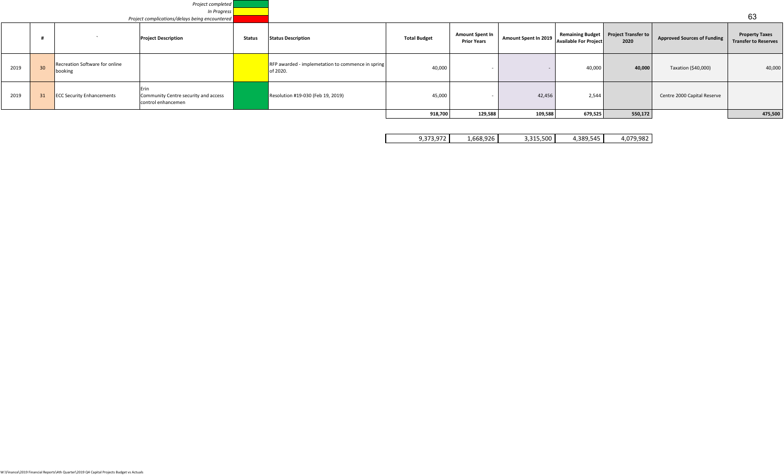|      |                 |                                           | Project completed<br>In Progress<br>Project complications/delays being encountered |               |                                                               |                     |                                              |                          |                              |                                                |                                    | 63                                                   |
|------|-----------------|-------------------------------------------|------------------------------------------------------------------------------------|---------------|---------------------------------------------------------------|---------------------|----------------------------------------------|--------------------------|------------------------------|------------------------------------------------|------------------------------------|------------------------------------------------------|
|      |                 |                                           | <b>Project Description</b>                                                         | <b>Status</b> | <b>Status Description</b>                                     | <b>Total Budget</b> | <b>Amount Spent In</b><br><b>Prior Years</b> | Amount Spent In 2019     | <b>Available For Project</b> | Remaining Budget   Project Transfer to<br>2020 | <b>Approved Sources of Funding</b> | <b>Property Taxes</b><br><b>Transfer to Reserves</b> |
| 2019 | 30 <sup>°</sup> | Recreation Software for online<br>booking |                                                                                    |               | RFP awarded - implemetation to commence in spring<br>of 2020. | 40,000              |                                              | $\overline{\phantom{0}}$ | 40,000                       | 40,000                                         | Taxation (\$40,000)                | 40,000                                               |
| 2019 | 31              | <b>ECC Security Enhancements</b>          | Erin<br>Community Centre security and access<br>control enhancemen                 |               | Resolution #19-030 (Feb 19, 2019)                             | 45,000              |                                              | 42,456                   | 2,544                        |                                                | Centre 2000 Capital Reserve        |                                                      |
|      |                 |                                           |                                                                                    |               |                                                               | 918,700             | 129,588                                      | 109,588                  | 679,525                      | 550,172                                        |                                    | 475,500                                              |

| $- - -$       | $  -$<br>. . F<br>ـ 658.970. | $\sim$<br>ີ<br>טטכ. | 545<br>וסנ   | $- - -$<br>77<br>. . |
|---------------|------------------------------|---------------------|--------------|----------------------|
| .<br>- -<br>- |                              | .                   | 4,505.<br>᠇┙ | $\cdots$             |
|               |                              |                     |              |                      |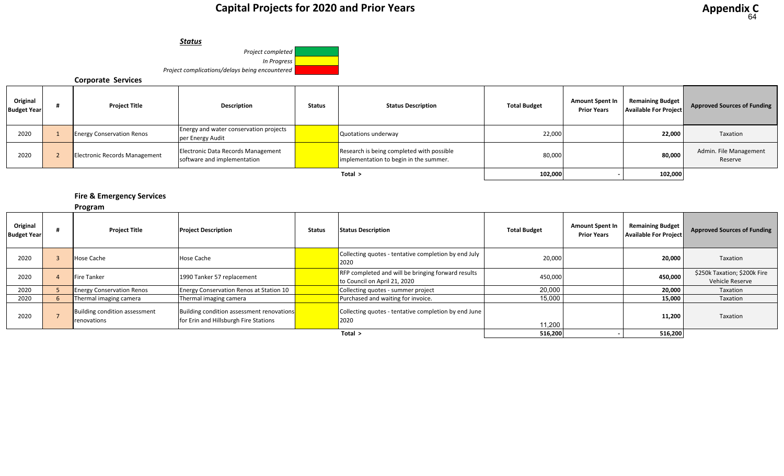#### *Status*



#### **Corporate Services**

| Original<br><b>Budget Year</b> | <b>Project Title</b>             | Description                                                       | <b>Status</b> | <b>Status Description</b>                                                           | <b>Total Budget</b> | <b>Amount Spent In</b><br><b>Prior Years</b> | <b>Remaining Budget</b><br><b>Available For Project</b> | <b>Approved Sources of Funding</b> |
|--------------------------------|----------------------------------|-------------------------------------------------------------------|---------------|-------------------------------------------------------------------------------------|---------------------|----------------------------------------------|---------------------------------------------------------|------------------------------------|
| 2020                           | <b>Energy Conservation Renos</b> | Energy and water conservation projects<br>per Energy Audit        |               | Quotations underway                                                                 | 22,000              |                                              | 22,000                                                  | Taxation                           |
| 2020                           | Electronic Records Management    | Electronic Data Records Management<br>software and implementation |               | Research is being completed with possible<br>implementation to begin in the summer. | 80,000              |                                              | 80,000                                                  | Admin. File Management<br>Reserve  |
|                                |                                  |                                                                   |               | Total $>$                                                                           | 102,000             |                                              | 102,000                                                 |                                    |

#### **Fire & Emergency Services**

**Program**

| Original<br><b>Budget Year</b> | <b>Project Title</b>                         | <b>Project Description</b>                                                         | Status | <b>Status Description</b>                                                          | <b>Total Budget</b> | <b>Amount Spent In</b><br><b>Prior Years</b> | <b>Remaining Budget</b><br>Available For Project | <b>Approved Sources of Funding</b>              |
|--------------------------------|----------------------------------------------|------------------------------------------------------------------------------------|--------|------------------------------------------------------------------------------------|---------------------|----------------------------------------------|--------------------------------------------------|-------------------------------------------------|
| 2020                           | Hose Cache                                   | Hose Cache                                                                         |        | Collecting quotes - tentative completion by end July<br>2020                       | 20,000              |                                              | 20,000                                           | Taxation                                        |
| 2020                           | Fire Tanker                                  | 1990 Tanker 57 replacement                                                         |        | RFP completed and will be bringing forward results<br>to Council on April 21, 2020 | 450,000             |                                              | 450,000                                          | \$250k Taxation; \$200k Fire<br>Vehicle Reserve |
| 2020                           | <b>Energy Conservation Renos</b>             | <b>Energy Conservation Renos at Station 10</b>                                     |        | Collecting quotes - summer project                                                 | 20,000              |                                              | 20,000                                           | Taxation                                        |
| 2020                           | Thermal imaging camera                       | Thermal imaging camera                                                             |        | Purchased and waiting for invoice.                                                 | 15,000              |                                              | 15,000                                           | Taxation                                        |
| 2020                           | Building condition assessment<br>renovations | Building condition assessment renovations<br>for Erin and Hillsburgh Fire Stations |        | Collecting quotes - tentative completion by end June<br>2020                       | 11,200              |                                              | 11,200                                           | Taxation                                        |
|                                |                                              |                                                                                    |        | Total $>$                                                                          | 516,200             |                                              | 516,200                                          |                                                 |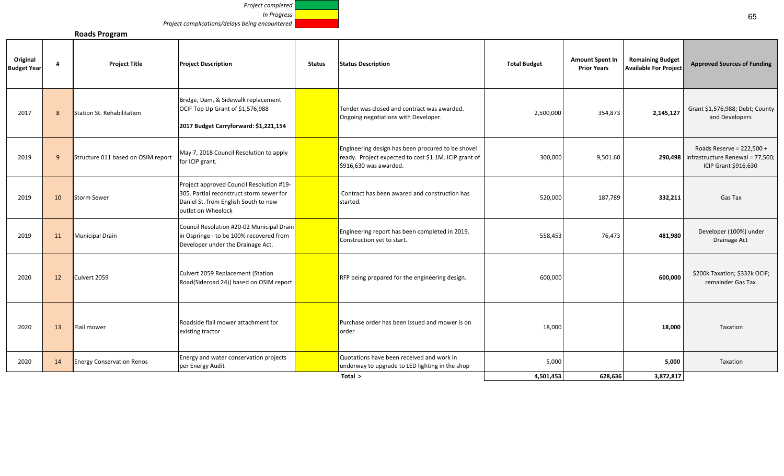*Project completed In Progress*

*Project complications/delays being encountered*

#### **Roads Program**

| Original<br><b>Budget Year</b> |              | <b>Project Title</b>               | <b>Project Description</b>                                                                                                                         | <b>Status</b> | <b>Status Description</b>                                                                                                            | <b>Total Budget</b> | <b>Amount Spent In</b><br><b>Prior Years</b> | <b>Remaining Budget</b><br><b>Available For Project</b> | <b>Approved Sources of Funding</b>                                                                 |
|--------------------------------|--------------|------------------------------------|----------------------------------------------------------------------------------------------------------------------------------------------------|---------------|--------------------------------------------------------------------------------------------------------------------------------------|---------------------|----------------------------------------------|---------------------------------------------------------|----------------------------------------------------------------------------------------------------|
| 2017                           | 8            | Station St. Rehabilitation         | Bridge, Dam, & Sidewalk replacement<br>OCIF Top Up Grant of \$1,576,988<br>2017 Budget Carryforward: \$1,221,154                                   |               | Tender was closed and contract was awarded.<br>Ongoing negotiations with Developer.                                                  | 2,500,000           | 354,873                                      | 2,145,127                                               | Grant \$1,576,988; Debt; County<br>and Developers                                                  |
| 2019                           | $\mathbf{q}$ | Structure 011 based on OSIM report | May 7, 2018 Council Resolution to apply<br>for ICIP grant.                                                                                         |               | Engineering design has been procured to be shovel<br>ready. Project expected to cost \$1.1M. ICIP grant of<br>\$916.630 was awarded. | 300,000             | 9,501.60                                     |                                                         | Roads Reserve = 222,500 +<br>290,498   Infrastructure Renewal = $77,500$ ;<br>ICIP Grant \$916,630 |
| 2019                           | 10           | <b>Storm Sewer</b>                 | Project approved Council Resolution #19-<br>305. Partial reconstruct storm sewer for<br>Daniel St. from English South to new<br>outlet on Wheelock |               | Contract has been awared and construction has<br>started.                                                                            | 520,000             | 187,789                                      | 332,211                                                 | Gas Tax                                                                                            |
| 2019                           | 11           | Municipal Drain                    | Council Resolution #20-02 Municipal Drain<br>in Ospringe - to be 100% recovered from<br>Developer under the Drainage Act.                          |               | Engineering report has been completed in 2019.<br>Construction yet to start.                                                         | 558,453             | 76,473                                       | 481,980                                                 | Developer (100%) under<br>Drainage Act                                                             |
| 2020                           | 12           | Culvert 2059                       | Culvert 2059 Replacement (Station<br>Road(Sideroad 24)) based on OSIM report                                                                       |               | RFP being prepared for the engineering design.                                                                                       | 600,000             |                                              | 600,000                                                 | \$200k Taxation; \$332k OCIF;<br>remainder Gas Tax                                                 |
| 2020                           | 13           | Flail mower                        | Roadside flail mower attachment for<br>existing tractor                                                                                            |               | Purchase order has been issued and mower is on<br>order                                                                              | 18,000              |                                              | 18,000                                                  | Taxation                                                                                           |
| 2020                           | 14           | <b>Energy Conservation Renos</b>   | Energy and water conservation projects<br>per Energy Audit                                                                                         |               | Quotations have been received and work in<br>underway to upgrade to LED lighting in the shop                                         | 5,000               |                                              | 5,000                                                   | Taxation                                                                                           |
|                                |              |                                    |                                                                                                                                                    |               | Total >                                                                                                                              | 4,501,453           | 628,636                                      | 3,872,817                                               |                                                                                                    |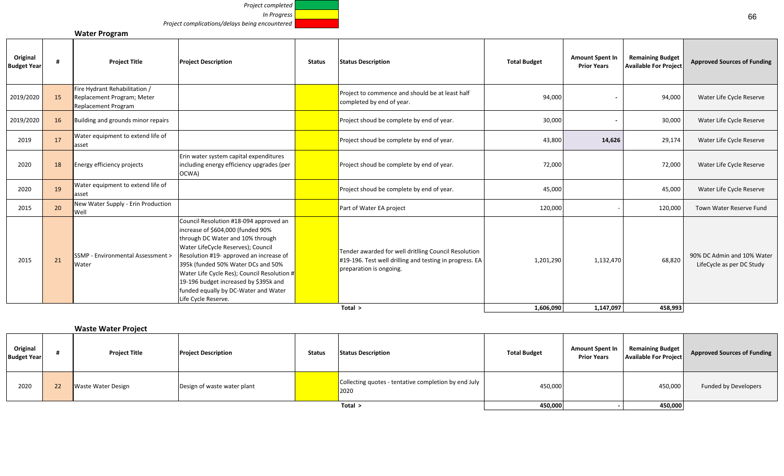*Project completed In Progress*

*Project complications/delays being encountered*

#### **Water Program**

| Original<br><b>Budget Year</b> |    | <b>Project Title</b>                                                               | <b>Project Description</b>                                                                                                                                                                                                                                                                                                                                                                    | <b>Status</b> | <b>Status Description</b>                                                                                                                  | <b>Total Budget</b> | <b>Amount Spent In</b><br><b>Prior Years</b> | <b>Remaining Budget</b><br><b>Available For Project</b> | <b>Approved Sources of Funding</b>                      |
|--------------------------------|----|------------------------------------------------------------------------------------|-----------------------------------------------------------------------------------------------------------------------------------------------------------------------------------------------------------------------------------------------------------------------------------------------------------------------------------------------------------------------------------------------|---------------|--------------------------------------------------------------------------------------------------------------------------------------------|---------------------|----------------------------------------------|---------------------------------------------------------|---------------------------------------------------------|
| 2019/2020                      | 15 | Fire Hydrant Rehabilitation /<br>Replacement Program; Meter<br>Replacement Program |                                                                                                                                                                                                                                                                                                                                                                                               |               | Project to commence and should be at least half<br>completed by end of year.                                                               | 94,000              |                                              | 94,000                                                  | Water Life Cycle Reserve                                |
| 2019/2020                      | 16 | Building and grounds minor repairs                                                 |                                                                                                                                                                                                                                                                                                                                                                                               |               | Project shoud be complete by end of year.                                                                                                  | 30,000              |                                              | 30,000                                                  | Water Life Cycle Reserve                                |
| 2019                           | 17 | Water equipment to extend life of<br>asset                                         |                                                                                                                                                                                                                                                                                                                                                                                               |               | Project shoud be complete by end of year.                                                                                                  | 43,800              | 14,626                                       | 29,174                                                  | Water Life Cycle Reserve                                |
| 2020                           | 18 | Energy efficiency projects                                                         | Erin water system capital expenditures<br>including energy efficiency upgrades (per<br>OCWA)                                                                                                                                                                                                                                                                                                  |               | Project shoud be complete by end of year.                                                                                                  | 72,000              |                                              | 72,000                                                  | Water Life Cycle Reserve                                |
| 2020                           | 19 | Water equipment to extend life of<br>asset                                         |                                                                                                                                                                                                                                                                                                                                                                                               |               | Project shoud be complete by end of year.                                                                                                  | 45,000              |                                              | 45,000                                                  | Water Life Cycle Reserve                                |
| 2015                           | 20 | New Water Supply - Erin Production<br>Well                                         |                                                                                                                                                                                                                                                                                                                                                                                               |               | Part of Water EA project                                                                                                                   | 120,000             |                                              | 120,000                                                 | Town Water Reserve Fund                                 |
| 2015                           | 21 | SSMP - Environmental Assessment ><br>Water                                         | Council Resolution #18-094 approved an<br>increase of \$604,000 (funded 90%<br>through DC Water and 10% through<br>Water LifeCycle Reserves); Council<br>Resolution #19- approved an increase of<br>395k (funded 50% Water DCs and 50%<br>Water Life Cycle Res); Council Resolution #<br>19-196 budget increased by \$395k and<br>funded equally by DC-Water and Water<br>Life Cycle Reserve. |               | Tender awarded for well dritlling Council Resolution<br>#19-196. Test well drilling and testing in progress. EA<br>preparation is ongoing. | 1,201,290           | 1,132,470                                    | 68,820                                                  | 90% DC Admin and 10% Water<br>LifeCycle as per DC Study |
|                                |    |                                                                                    |                                                                                                                                                                                                                                                                                                                                                                                               |               | Total >                                                                                                                                    | 1,606,090           | 1,147,097                                    | 458,993                                                 |                                                         |

#### **Waste Water Project**

| Original<br><b>Budget Year</b> |    | <b>Project Title</b>      | <b>Project Description</b>  | <b>Status</b> | <b>Status Description</b>                                    | <b>Total Budget</b> | <b>Amount Spent In</b><br><b>Prior Years</b> | <b>Remaining Budget</b><br><b>Available For Project</b> | Approved Sources of Funding |
|--------------------------------|----|---------------------------|-----------------------------|---------------|--------------------------------------------------------------|---------------------|----------------------------------------------|---------------------------------------------------------|-----------------------------|
| 2020                           | 22 | <b>Waste Water Design</b> | Design of waste water plant |               | Collecting quotes - tentative completion by end July<br>2020 | 450,000             |                                              | 450,000                                                 | Funded by Developers        |
|                                |    |                           |                             |               | Total >                                                      | 450,000             |                                              | 450,000                                                 |                             |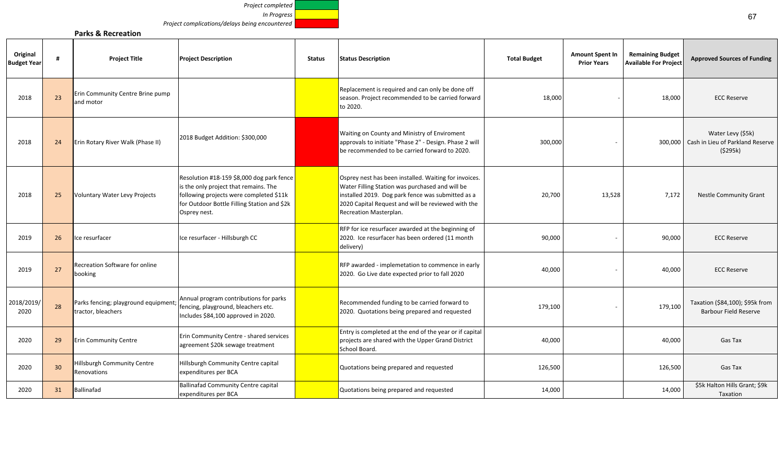*Project completed In Progress*

*Project complications/delays being encountered*

#### **Parks & Recreation**

| Original<br><b>Budget Year</b> |                 | <b>Project Title</b>                                      | <b>Project Description</b>                                                                                                                                                                   | <b>Status</b> | <b>Status Description</b>                                                                                                                                                                                                                     | <b>Total Budget</b> | <b>Amount Spent In</b><br><b>Prior Years</b> | <b>Remaining Budget</b><br><b>Available For Project</b> | <b>Approved Sources of Funding</b>                                       |
|--------------------------------|-----------------|-----------------------------------------------------------|----------------------------------------------------------------------------------------------------------------------------------------------------------------------------------------------|---------------|-----------------------------------------------------------------------------------------------------------------------------------------------------------------------------------------------------------------------------------------------|---------------------|----------------------------------------------|---------------------------------------------------------|--------------------------------------------------------------------------|
| 2018                           | 23              | Erin Community Centre Brine pump<br>and motor             |                                                                                                                                                                                              |               | Replacement is required and can only be done off<br>season. Project recommended to be carried forward<br>to 2020.                                                                                                                             | 18,000              |                                              | 18,000                                                  | <b>ECC Reserve</b>                                                       |
| 2018                           | 24              | Erin Rotary River Walk (Phase II)                         | 2018 Budget Addition: \$300,000                                                                                                                                                              |               | Waiting on County and Ministry of Enviroment<br>approvals to initiate "Phase 2" - Design. Phase 2 will<br>be recommended to be carried forward to 2020.                                                                                       | 300,000             |                                              |                                                         | Water Levy (\$5k)<br>300,000 Cash in Lieu of Parkland Reserve<br>(5295k) |
| 2018                           | 25              | Voluntary Water Levy Projects                             | Resolution #18-159 \$8,000 dog park fence<br>is the only project that remains. The<br>following projects were completed \$11k<br>for Outdoor Bottle Filling Station and \$2k<br>Osprey nest. |               | Osprey nest has been installed. Waiting for invoices.<br>Water Filling Station was purchased and will be<br>installed 2019. Dog park fence was submitted as a<br>2020 Capital Request and will be reviewed with the<br>Recreation Masterplan. | 20,700              | 13,528                                       | 7,172                                                   | <b>Nestle Community Grant</b>                                            |
| 2019                           | 26              | Ice resurfacer                                            | Ice resurfacer - Hillsburgh CC                                                                                                                                                               |               | RFP for ice resurfacer awarded at the beginning of<br>2020. Ice resurfacer has been ordered (11 month<br>delivery)                                                                                                                            | 90,000              |                                              | 90,000                                                  | <b>ECC Reserve</b>                                                       |
| 2019                           | 27              | Recreation Software for online<br>booking                 |                                                                                                                                                                                              |               | RFP awarded - implemetation to commence in early<br>2020. Go Live date expected prior to fall 2020                                                                                                                                            | 40,000              |                                              | 40,000                                                  | <b>ECC Reserve</b>                                                       |
| 2018/2019/<br>2020             | 28              | Parks fencing; playground equipment<br>tractor, bleachers | Annual program contributions for parks<br>fencing, playground, bleachers etc.<br>Includes \$84,100 approved in 2020.                                                                         |               | Recommended funding to be carried forward to<br>2020. Quotations being prepared and requested                                                                                                                                                 | 179,100             |                                              | 179,100                                                 | Taxation (\$84,100); \$95k from<br><b>Barbour Field Reserve</b>          |
| 2020                           | 29              | <b>Erin Community Centre</b>                              | Erin Community Centre - shared services<br>agreement \$20k sewage treatment                                                                                                                  |               | Entry is completed at the end of the year or if capital<br>projects are shared with the Upper Grand District<br>School Board.                                                                                                                 | 40,000              |                                              | 40,000                                                  | Gas Tax                                                                  |
| 2020                           | 30 <sup>°</sup> | Hillsburgh Community Centre<br>Renovations                | Hillsburgh Community Centre capital<br>expenditures per BCA                                                                                                                                  |               | Quotations being prepared and requested                                                                                                                                                                                                       | 126,500             |                                              | 126,500                                                 | Gas Tax                                                                  |
| 2020                           | 31              | Ballinafad                                                | <b>Ballinafad Community Centre capital</b><br>expenditures per BCA                                                                                                                           |               | Quotations being prepared and requested                                                                                                                                                                                                       | 14,000              |                                              | 14,000                                                  | \$5k Halton Hills Grant; \$9k<br>Taxation                                |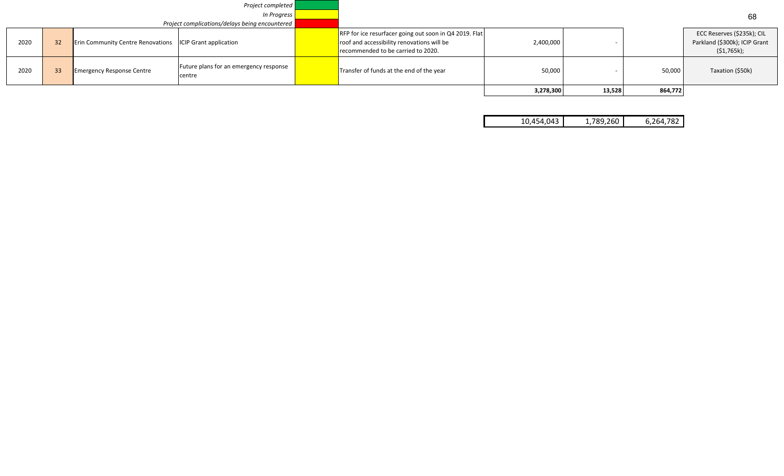|                                                       |    | Project completed                                                                    |  |                                                                                                                                            |           |        |         |                                                                            |
|-------------------------------------------------------|----|--------------------------------------------------------------------------------------|--|--------------------------------------------------------------------------------------------------------------------------------------------|-----------|--------|---------|----------------------------------------------------------------------------|
| In Progress                                           |    |                                                                                      |  |                                                                                                                                            |           |        |         | 68                                                                         |
| <b>Project complications/delays being encountered</b> |    |                                                                                      |  |                                                                                                                                            |           |        |         |                                                                            |
| 2020                                                  |    | <b>Erin Community Centre Renovations ICIP Grant application</b>                      |  | RFP for ice resurfacer going out soon in Q4 2019. Flat<br>roof and accessibility renovations will be<br>recommended to be carried to 2020. | 2,400,000 |        |         | ECC Reserves (\$235k); CIL<br>Parkland (\$300k); ICIP Grant<br>(\$1,765k); |
| 2020                                                  | 33 | Future plans for an emergency response<br><b>Emergency Response Centre</b><br>centre |  | Transfer of funds at the end of the year                                                                                                   | 50,000    |        | 50,000  | Taxation (\$50k)                                                           |
|                                                       |    |                                                                                      |  |                                                                                                                                            | 3,278,300 | 13,528 | 864,772 |                                                                            |

|  | 4.043 | 789.260 | 79. |
|--|-------|---------|-----|
|--|-------|---------|-----|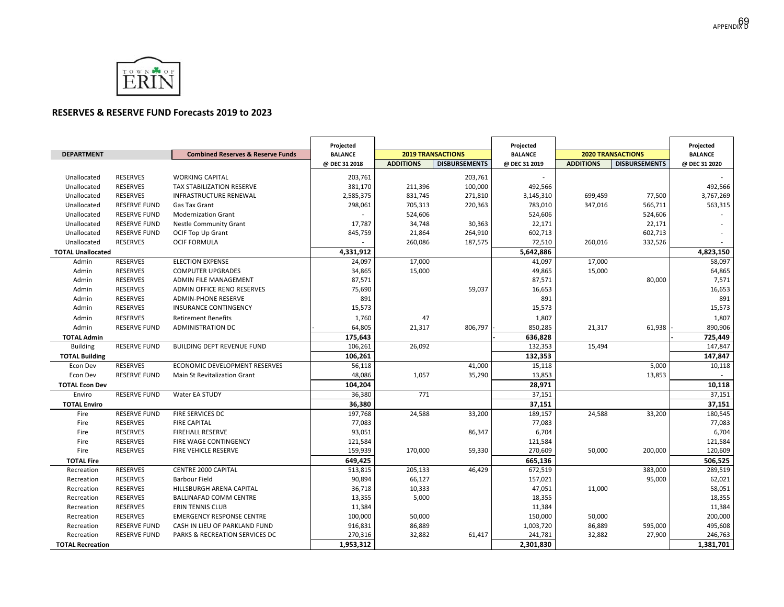

#### **RESERVES & RESERVE FUND Forecasts 2019 to 2023**

|                          |                     |                                              | Projected      |                  |                          | Projected      |                  |                          | Projected      |
|--------------------------|---------------------|----------------------------------------------|----------------|------------------|--------------------------|----------------|------------------|--------------------------|----------------|
| <b>DEPARTMENT</b>        |                     | <b>Combined Reserves &amp; Reserve Funds</b> | <b>BALANCE</b> |                  | <b>2019 TRANSACTIONS</b> | <b>BALANCE</b> |                  | <b>2020 TRANSACTIONS</b> | <b>BALANCE</b> |
|                          |                     |                                              | @ DEC 31 2018  | <b>ADDITIONS</b> | <b>DISBURSEMENTS</b>     | @ DEC 31 2019  | <b>ADDITIONS</b> | <b>DISBURSEMENTS</b>     | @ DEC 31 2020  |
| Unallocated              | <b>RESERVES</b>     | <b>WORKING CAPITAL</b>                       | 203,761        |                  | 203,761                  |                |                  |                          |                |
| Unallocated              | <b>RESERVES</b>     | TAX STABILIZATION RESERVE                    | 381,170        | 211,396          | 100,000                  | 492,566        |                  |                          | 492,566        |
| Unallocated              | <b>RESERVES</b>     | INFRASTRUCTURE RENEWAL                       | 2,585,375      | 831,745          | 271,810                  | 3,145,310      | 699,459          | 77,500                   | 3,767,269      |
| Unallocated              | <b>RESERVE FUND</b> | Gas Tax Grant                                | 298,061        | 705,313          | 220,363                  | 783,010        | 347,016          | 566,711                  | 563,315        |
| Unallocated              | <b>RESERVE FUND</b> | <b>Modernization Grant</b>                   |                | 524,606          |                          | 524,606        |                  | 524,606                  |                |
| Unallocated              | <b>RESERVE FUND</b> | <b>Nestle Community Grant</b>                | 17,787         | 34,748           | 30,363                   | 22,171         |                  | 22,171                   |                |
| Unallocated              | <b>RESERVE FUND</b> | OCIF Top Up Grant                            | 845,759        | 21,864           | 264,910                  | 602,713        |                  | 602,713                  |                |
| Unallocated              | <b>RESERVES</b>     | <b>OCIF FORMULA</b>                          |                | 260,086          | 187,575                  | 72,510         | 260,016          | 332,526                  |                |
| <b>TOTAL Unallocated</b> |                     |                                              | 4,331,912      |                  |                          | 5,642,886      |                  |                          | 4,823,150      |
| Admin                    | <b>RESERVES</b>     | <b>ELECTION EXPENSE</b>                      | 24,097         | 17,000           |                          | 41,097         | 17,000           |                          | 58,097         |
| Admin                    | <b>RESERVES</b>     | <b>COMPUTER UPGRADES</b>                     | 34,865         | 15,000           |                          | 49,865         | 15,000           |                          | 64,865         |
| Admin                    | <b>RESERVES</b>     | <b>ADMIN FILE MANAGEMENT</b>                 | 87,571         |                  |                          | 87,571         |                  | 80,000                   | 7,571          |
| Admin                    | <b>RESERVES</b>     | ADMIN OFFICE RENO RESERVES                   | 75,690         |                  | 59,037                   | 16,653         |                  |                          | 16,653         |
| Admin                    | <b>RESERVES</b>     | <b>ADMIN-PHONE RESERVE</b>                   | 891            |                  |                          | 891            |                  |                          | 891            |
| Admin                    | <b>RESERVES</b>     | INSURANCE CONTINGENCY                        | 15,573         |                  |                          | 15,573         |                  |                          | 15,573         |
| Admin                    | <b>RESERVES</b>     | <b>Retirement Benefits</b>                   | 1,760          | 47               |                          | 1,807          |                  |                          | 1,807          |
| Admin                    | <b>RESERVE FUND</b> | <b>ADMINISTRATION DC</b>                     | 64,805         | 21,317           | 806,797                  | 850,285        | 21,317           | 61,938                   | 890,906        |
| <b>TOTAL Admin</b>       |                     |                                              | 175,643        |                  |                          | 636,828        |                  |                          | 725,449        |
| <b>Building</b>          | <b>RESERVE FUND</b> | <b>BUILDING DEPT REVENUE FUND</b>            | 106,261        | 26,092           |                          | 132,353        | 15,494           |                          | 147,847        |
| <b>TOTAL Building</b>    |                     |                                              | 106,261        |                  |                          | 132,353        |                  |                          | 147,847        |
| Econ Dev                 | <b>RESERVES</b>     | ECONOMIC DEVELOPMENT RESERVES                | 56,118         |                  | 41,000                   | 15,118         |                  | 5,000                    | 10,118         |
| Econ Dev                 | <b>RESERVE FUND</b> | Main St Revitalization Grant                 | 48,086         | 1,057            | 35,290                   | 13,853         |                  | 13,853                   |                |
| <b>TOTAL Econ Dev</b>    |                     |                                              | 104,204        |                  |                          | 28,971         |                  |                          | 10,118         |
| Enviro                   | <b>RESERVE FUND</b> | Water EA STUDY                               | 36,380         | 771              |                          | 37,151         |                  |                          | 37,151         |
| <b>TOTAL Enviro</b>      |                     |                                              | 36,380         |                  |                          | 37,151         |                  |                          | 37,151         |
| Fire                     | <b>RESERVE FUND</b> | FIRE SERVICES DC                             | 197,768        | 24,588           | 33,200                   | 189,157        | 24,588           | 33,200                   | 180,545        |
| Fire                     | <b>RESERVES</b>     | <b>FIRE CAPITAL</b>                          | 77,083         |                  |                          | 77,083         |                  |                          | 77,083         |
| Fire                     | <b>RESERVES</b>     | <b>FIREHALL RESERVE</b>                      | 93,051         |                  | 86,347                   | 6,704          |                  |                          | 6,704          |
| Fire                     | <b>RESERVES</b>     | FIRE WAGE CONTINGENCY                        | 121,584        |                  |                          | 121,584        |                  |                          | 121,584        |
| Fire                     | <b>RESERVES</b>     | FIRE VEHICLE RESERVE                         | 159,939        | 170,000          | 59,330                   | 270,609        | 50,000           | 200,000                  | 120,609        |
| <b>TOTAL Fire</b>        |                     |                                              | 649,425        |                  |                          | 665,136        |                  |                          | 506,525        |
| Recreation               | <b>RESERVES</b>     | CENTRE 2000 CAPITAL                          | 513,815        | 205,133          | 46,429                   | 672,519        |                  | 383,000                  | 289,519        |
| Recreation               | <b>RESERVES</b>     | <b>Barbour Field</b>                         | 90,894         | 66,127           |                          | 157,021        |                  | 95,000                   | 62,021         |
| Recreation               | <b>RESERVES</b>     | HILLSBURGH ARENA CAPITAL                     | 36,718         | 10,333           |                          | 47,051         | 11,000           |                          | 58,051         |
| Recreation               | <b>RESERVES</b>     | <b>BALLINAFAD COMM CENTRE</b>                | 13,355         | 5,000            |                          | 18,355         |                  |                          | 18,355         |
| Recreation               | <b>RESERVES</b>     | <b>ERIN TENNIS CLUB</b>                      | 11,384         |                  |                          | 11,384         |                  |                          | 11,384         |
| Recreation               | <b>RESERVES</b>     | <b>EMERGENCY RESPONSE CENTRE</b>             | 100,000        | 50,000           |                          | 150,000        | 50,000           |                          | 200,000        |
| Recreation               | <b>RESERVE FUND</b> | CASH IN LIEU OF PARKLAND FUND                | 916,831        | 86,889           |                          | 1,003,720      | 86,889           | 595,000                  | 495,608        |
| Recreation               | <b>RESERVE FUND</b> | PARKS & RECREATION SERVICES DC               | 270,316        | 32,882           | 61,417                   | 241,781        | 32,882           | 27,900                   | 246,763        |
| <b>TOTAL Recreation</b>  |                     |                                              | 1,953,312      |                  |                          | 2,301,830      |                  |                          | 1,381,701      |